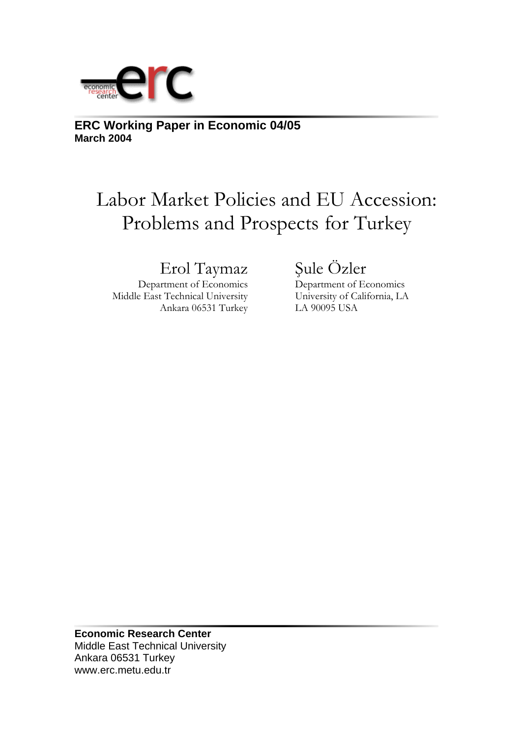

**ERC Working Paper in Economic 04/05 March 2004**

# Labor Market Policies and EU Accession: Problems and Prospects for Turkey

# Erol Taymaz Şule Özler

 Department of Economics Department of Economics Middle East Technical University University of California, LA Ankara 06531 Turkey LA 90095 USA

**Economic Research Center**  Middle East Technical University Ankara 06531 Turkey www.erc.metu.edu.tr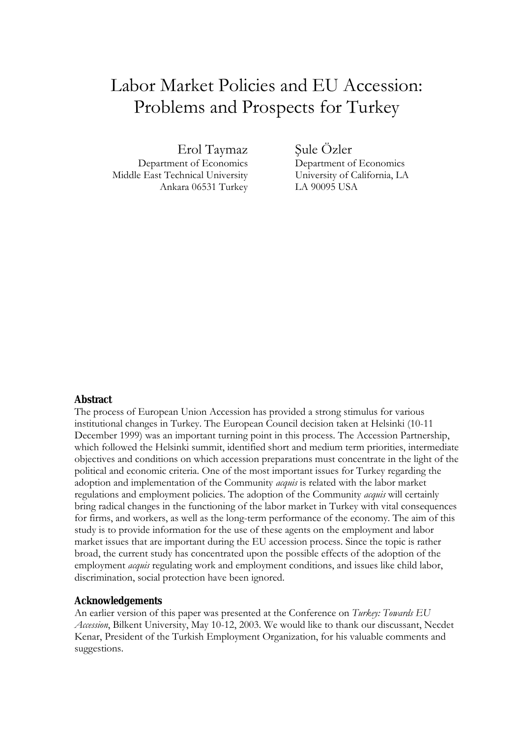# Labor Market Policies and EU Accession: Problems and Prospects for Turkey

Erol Taymaz Sule Özler

Middle East Technical University University of California, LA Ankara 06531 Turkey LA 90095 USA

Department of Economics Department of Economics

### **Abstract**

The process of European Union Accession has provided a strong stimulus for various institutional changes in Turkey. The European Council decision taken at Helsinki (10-11 December 1999) was an important turning point in this process. The Accession Partnership, which followed the Helsinki summit, identified short and medium term priorities, intermediate objectives and conditions on which accession preparations must concentrate in the light of the political and economic criteria. One of the most important issues for Turkey regarding the adoption and implementation of the Community *acquis* is related with the labor market regulations and employment policies. The adoption of the Community *acquis* will certainly bring radical changes in the functioning of the labor market in Turkey with vital consequences for firms, and workers, as well as the long-term performance of the economy. The aim of this study is to provide information for the use of these agents on the employment and labor market issues that are important during the EU accession process. Since the topic is rather broad, the current study has concentrated upon the possible effects of the adoption of the employment *acquis* regulating work and employment conditions, and issues like child labor, discrimination, social protection have been ignored.

### **Acknowledgements**

An earlier version of this paper was presented at the Conference on *Turkey: Towards EU Accession*, Bilkent University, May 10-12, 2003. We would like to thank our discussant, Necdet Kenar, President of the Turkish Employment Organization, for his valuable comments and suggestions.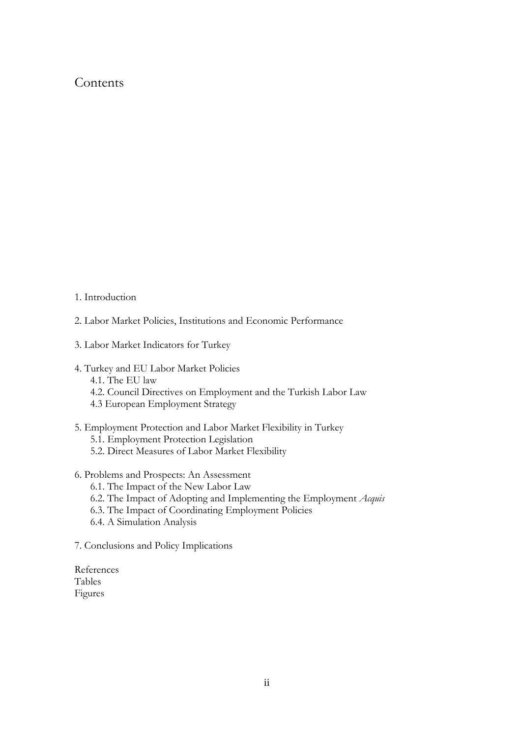## **Contents**

- 1. Introduction
- 2. Labor Market Policies, Institutions and Economic Performance
- 3. Labor Market Indicators for Turkey
- 4. Turkey and EU Labor Market Policies
	- 4.1. The EU law
	- 4.2. Council Directives on Employment and the Turkish Labor Law
	- 4.3 European Employment Strategy
- 5. Employment Protection and Labor Market Flexibility in Turkey
	- 5.1. Employment Protection Legislation
	- 5.2. Direct Measures of Labor Market Flexibility
- 6. Problems and Prospects: An Assessment
	- 6.1. The Impact of the New Labor Law
	- 6.2. The Impact of Adopting and Implementing the Employment *Acquis*
	- 6.3. The Impact of Coordinating Employment Policies
	- 6.4. A Simulation Analysis
- 7. Conclusions and Policy Implications
- References Tables Figures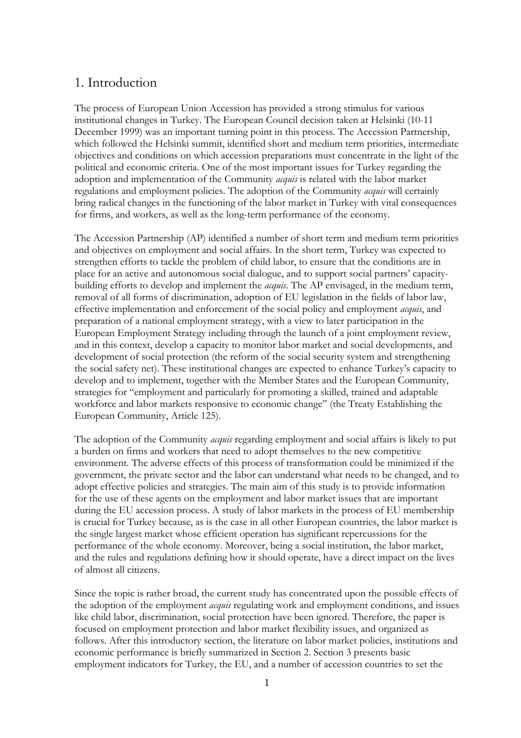### 1. Introduction

The process of European Union Accession has provided a strong stimulus for various institutional changes in Turkey. The European Council decision taken at Helsinki (10-11 December 1999) was an important turning point in this process. The Accession Partnership, which followed the Helsinki summit, identified short and medium term priorities, intermediate objectives and conditions on which accession preparations must concentrate in the light of the political and economic criteria. One of the most important issues for Turkey regarding the adoption and implementation of the Community *acquis* is related with the labor market regulations and employment policies. The adoption of the Community *acquis* will certainly bring radical changes in the functioning of the labor market in Turkey with vital consequences for firms, and workers, as well as the long-term performance of the economy.

The Accession Partnership (AP) identified a number of short term and medium term priorities and objectives on employment and social affairs. In the short term, Turkey was expected to strengthen efforts to tackle the problem of child labor, to ensure that the conditions are in place for an active and autonomous social dialogue, and to support social partners' capacitybuilding efforts to develop and implement the *acquis*. The AP envisaged, in the medium term, removal of all forms of discrimination, adoption of EU legislation in the fields of labor law, effective implementation and enforcement of the social policy and employment *acquis*, and preparation of a national employment strategy, with a view to later participation in the European Employment Strategy including through the launch of a joint employment review, and in this context, develop a capacity to monitor labor market and social developments, and development of social protection (the reform of the social security system and strengthening the social safety net). These institutional changes are expected to enhance Turkey's capacity to develop and to implement, together with the Member States and the European Community, strategies for "employment and particularly for promoting a skilled, trained and adaptable workforce and labor markets responsive to economic change" (the Treaty Establishing the European Community, Article 125).

The adoption of the Community *acquis* regarding employment and social affairs is likely to put a burden on firms and workers that need to adopt themselves to the new competitive environment. The adverse effects of this process of transformation could be minimized if the government, the private sector and the labor can understand what needs to be changed, and to adopt effective policies and strategies. The main aim of this study is to provide information for the use of these agents on the employment and labor market issues that are important during the EU accession process. A study of labor markets in the process of EU membership is crucial for Turkey because, as is the case in all other European countries, the labor market is the single largest market whose efficient operation has significant repercussions for the performance of the whole economy. Moreover, being a social institution, the labor market, and the rules and regulations defining how it should operate, have a direct impact on the lives of almost all citizens.

Since the topic is rather broad, the current study has concentrated upon the possible effects of the adoption of the employment *acquis* regulating work and employment conditions, and issues like child labor, discrimination, social protection have been ignored. Therefore, the paper is focused on employment protection and labor market flexibility issues, and organized as follows. After this introductory section, the literature on labor market policies, institutions and economic performance is briefly summarized in Section 2. Section 3 presents basic employment indicators for Turkey, the EU, and a number of accession countries to set the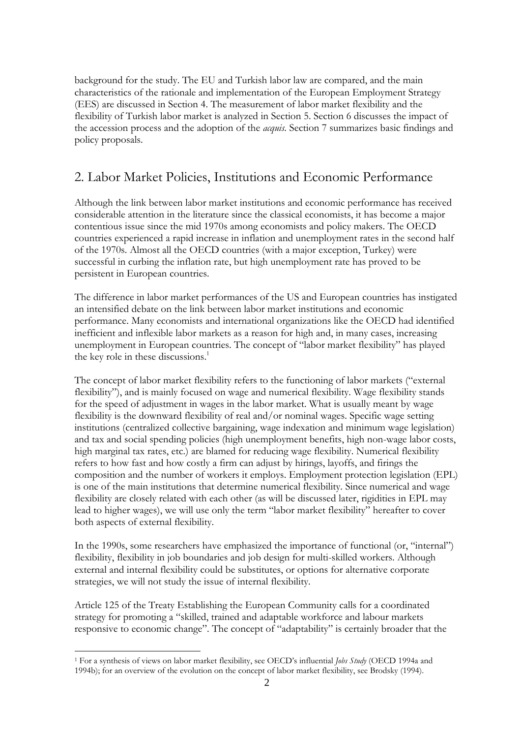background for the study. The EU and Turkish labor law are compared, and the main characteristics of the rationale and implementation of the European Employment Strategy (EES) are discussed in Section 4. The measurement of labor market flexibility and the flexibility of Turkish labor market is analyzed in Section 5. Section 6 discusses the impact of the accession process and the adoption of the *acquis.* Section 7 summarizes basic findings and policy proposals.

# 2. Labor Market Policies, Institutions and Economic Performance

Although the link between labor market institutions and economic performance has received considerable attention in the literature since the classical economists, it has become a major contentious issue since the mid 1970s among economists and policy makers. The OECD countries experienced a rapid increase in inflation and unemployment rates in the second half of the 1970s. Almost all the OECD countries (with a major exception, Turkey) were successful in curbing the inflation rate, but high unemployment rate has proved to be persistent in European countries.

The difference in labor market performances of the US and European countries has instigated an intensified debate on the link between labor market institutions and economic performance. Many economists and international organizations like the OECD had identified inefficient and inflexible labor markets as a reason for high and, in many cases, increasing unemployment in European countries. The concept of "labor market flexibility" has played the key role in these discussions. $<sup>1</sup>$ </sup>

The concept of labor market flexibility refers to the functioning of labor markets ("external flexibility"), and is mainly focused on wage and numerical flexibility. Wage flexibility stands for the speed of adjustment in wages in the labor market. What is usually meant by wage flexibility is the downward flexibility of real and/or nominal wages. Specific wage setting institutions (centralized collective bargaining, wage indexation and minimum wage legislation) and tax and social spending policies (high unemployment benefits, high non-wage labor costs, high marginal tax rates, etc.) are blamed for reducing wage flexibility. Numerical flexibility refers to how fast and how costly a firm can adjust by hirings, layoffs, and firings the composition and the number of workers it employs. Employment protection legislation (EPL) is one of the main institutions that determine numerical flexibility. Since numerical and wage flexibility are closely related with each other (as will be discussed later, rigidities in EPL may lead to higher wages), we will use only the term "labor market flexibility" hereafter to cover both aspects of external flexibility.

In the 1990s, some researchers have emphasized the importance of functional (or, "internal") flexibility, flexibility in job boundaries and job design for multi-skilled workers. Although external and internal flexibility could be substitutes, or options for alternative corporate strategies, we will not study the issue of internal flexibility.

Article 125 of the Treaty Establishing the European Community calls for a coordinated strategy for promoting a "skilled, trained and adaptable workforce and labour markets responsive to economic change". The concept of "adaptability" is certainly broader that the

 $\overline{a}$ 1 For a synthesis of views on labor market flexibility, see OECD's influential *Jobs Study* (OECD 1994a and 1994b); for an overview of the evolution on the concept of labor market flexibility, see Brodsky (1994).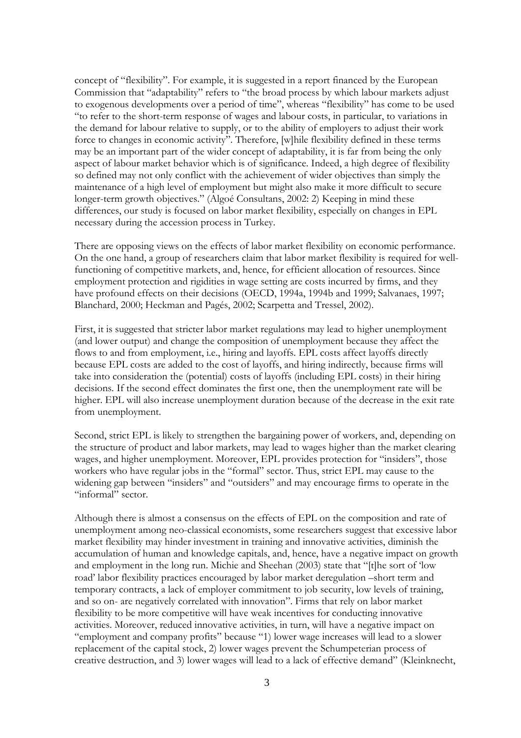concept of "flexibility". For example, it is suggested in a report financed by the European Commission that "adaptability" refers to "the broad process by which labour markets adjust to exogenous developments over a period of time", whereas "flexibility" has come to be used "to refer to the short-term response of wages and labour costs, in particular, to variations in the demand for labour relative to supply, or to the ability of employers to adjust their work force to changes in economic activity". Therefore, [w]hile flexibility defined in these terms may be an important part of the wider concept of adaptability, it is far from being the only aspect of labour market behavior which is of significance. Indeed, a high degree of flexibility so defined may not only conflict with the achievement of wider objectives than simply the maintenance of a high level of employment but might also make it more difficult to secure longer-term growth objectives." (Algoé Consultans, 2002: 2) Keeping in mind these differences, our study is focused on labor market flexibility, especially on changes in EPL necessary during the accession process in Turkey.

There are opposing views on the effects of labor market flexibility on economic performance. On the one hand, a group of researchers claim that labor market flexibility is required for wellfunctioning of competitive markets, and, hence, for efficient allocation of resources. Since employment protection and rigidities in wage setting are costs incurred by firms, and they have profound effects on their decisions (OECD, 1994a, 1994b and 1999; Salvanaes, 1997; Blanchard, 2000; Heckman and Pagés, 2002; Scarpetta and Tressel, 2002).

First, it is suggested that stricter labor market regulations may lead to higher unemployment (and lower output) and change the composition of unemployment because they affect the flows to and from employment, i.e., hiring and layoffs. EPL costs affect layoffs directly because EPL costs are added to the cost of layoffs, and hiring indirectly, because firms will take into consideration the (potential) costs of layoffs (including EPL costs) in their hiring decisions. If the second effect dominates the first one, then the unemployment rate will be higher. EPL will also increase unemployment duration because of the decrease in the exit rate from unemployment.

Second, strict EPL is likely to strengthen the bargaining power of workers, and, depending on the structure of product and labor markets, may lead to wages higher than the market clearing wages, and higher unemployment. Moreover, EPL provides protection for "insiders", those workers who have regular jobs in the "formal" sector. Thus, strict EPL may cause to the widening gap between "insiders" and "outsiders" and may encourage firms to operate in the "informal" sector.

Although there is almost a consensus on the effects of EPL on the composition and rate of unemployment among neo-classical economists, some researchers suggest that excessive labor market flexibility may hinder investment in training and innovative activities, diminish the accumulation of human and knowledge capitals, and, hence, have a negative impact on growth and employment in the long run. Michie and Sheehan (2003) state that "[t]he sort of 'low road' labor flexibility practices encouraged by labor market deregulation –short term and temporary contracts, a lack of employer commitment to job security, low levels of training, and so on- are negatively correlated with innovation". Firms that rely on labor market flexibility to be more competitive will have weak incentives for conducting innovative activities. Moreover, reduced innovative activities, in turn, will have a negative impact on "employment and company profits" because "1) lower wage increases will lead to a slower replacement of the capital stock, 2) lower wages prevent the Schumpeterian process of creative destruction, and 3) lower wages will lead to a lack of effective demand" (Kleinknecht,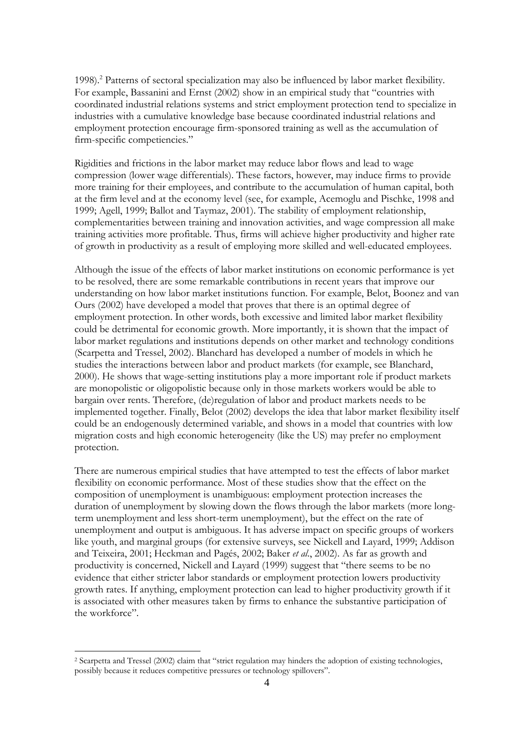1998).<sup>2</sup> Patterns of sectoral specialization may also be influenced by labor market flexibility. For example, Bassanini and Ernst (2002) show in an empirical study that "countries with coordinated industrial relations systems and strict employment protection tend to specialize in industries with a cumulative knowledge base because coordinated industrial relations and employment protection encourage firm-sponsored training as well as the accumulation of firm-specific competiencies."

Rigidities and frictions in the labor market may reduce labor flows and lead to wage compression (lower wage differentials). These factors, however, may induce firms to provide more training for their employees, and contribute to the accumulation of human capital, both at the firm level and at the economy level (see, for example, Acemoglu and Pischke, 1998 and 1999; Agell, 1999; Ballot and Taymaz, 2001). The stability of employment relationship, complementarities between training and innovation activities, and wage compression all make training activities more profitable. Thus, firms will achieve higher productivity and higher rate of growth in productivity as a result of employing more skilled and well-educated employees.

Although the issue of the effects of labor market institutions on economic performance is yet to be resolved, there are some remarkable contributions in recent years that improve our understanding on how labor market institutions function. For example, Belot, Boonez and van Ours (2002) have developed a model that proves that there is an optimal degree of employment protection. In other words, both excessive and limited labor market flexibility could be detrimental for economic growth. More importantly, it is shown that the impact of labor market regulations and institutions depends on other market and technology conditions (Scarpetta and Tressel, 2002). Blanchard has developed a number of models in which he studies the interactions between labor and product markets (for example, see Blanchard, 2000). He shows that wage-setting institutions play a more important role if product markets are monopolistic or oligopolistic because only in those markets workers would be able to bargain over rents. Therefore, (de)regulation of labor and product markets needs to be implemented together. Finally, Belot (2002) develops the idea that labor market flexibility itself could be an endogenously determined variable, and shows in a model that countries with low migration costs and high economic heterogeneity (like the US) may prefer no employment protection.

There are numerous empirical studies that have attempted to test the effects of labor market flexibility on economic performance. Most of these studies show that the effect on the composition of unemployment is unambiguous: employment protection increases the duration of unemployment by slowing down the flows through the labor markets (more longterm unemployment and less short-term unemployment), but the effect on the rate of unemployment and output is ambiguous. It has adverse impact on specific groups of workers like youth, and marginal groups (for extensive surveys, see Nickell and Layard, 1999; Addison and Teixeira, 2001; Heckman and Pagés, 2002; Baker *et al*., 2002). As far as growth and productivity is concerned, Nickell and Layard (1999) suggest that "there seems to be no evidence that either stricter labor standards or employment protection lowers productivity growth rates. If anything, employment protection can lead to higher productivity growth if it is associated with other measures taken by firms to enhance the substantive participation of the workforce".

<sup>2</sup> Scarpetta and Tressel (2002) claim that "strict regulation may hinders the adoption of existing technologies, possibly because it reduces competitive pressures or technology spillovers".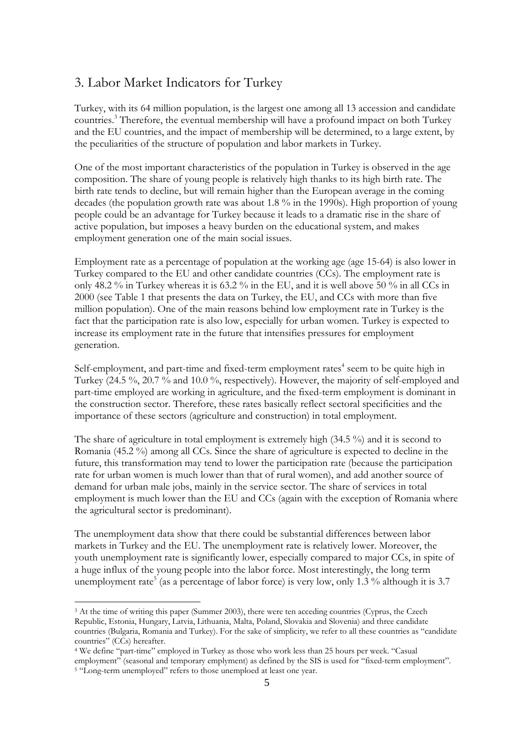# 3. Labor Market Indicators for Turkey

Turkey, with its 64 million population, is the largest one among all 13 accession and candidate countries.<sup>3</sup> Therefore, the eventual membership will have a profound impact on both Turkey and the EU countries, and the impact of membership will be determined, to a large extent, by the peculiarities of the structure of population and labor markets in Turkey.

One of the most important characteristics of the population in Turkey is observed in the age composition. The share of young people is relatively high thanks to its high birth rate. The birth rate tends to decline, but will remain higher than the European average in the coming decades (the population growth rate was about 1.8 % in the 1990s). High proportion of young people could be an advantage for Turkey because it leads to a dramatic rise in the share of active population, but imposes a heavy burden on the educational system, and makes employment generation one of the main social issues.

Employment rate as a percentage of population at the working age (age 15-64) is also lower in Turkey compared to the EU and other candidate countries (CCs). The employment rate is only 48.2 % in Turkey whereas it is 63.2 % in the EU, and it is well above 50 % in all CCs in 2000 (see Table 1 that presents the data on Turkey, the EU, and CCs with more than five million population). One of the main reasons behind low employment rate in Turkey is the fact that the participation rate is also low, especially for urban women. Turkey is expected to increase its employment rate in the future that intensifies pressures for employment generation.

Self-employment, and part-time and fixed-term employment rates<sup>4</sup> seem to be quite high in Turkey (24.5 %, 20.7 % and 10.0 %, respectively). However, the majority of self-employed and part-time employed are working in agriculture, and the fixed-term employment is dominant in the construction sector. Therefore, these rates basically reflect sectoral specificities and the importance of these sectors (agriculture and construction) in total employment.

The share of agriculture in total employment is extremely high (34.5 %) and it is second to Romania (45.2 %) among all CCs. Since the share of agriculture is expected to decline in the future, this transformation may tend to lower the participation rate (because the participation rate for urban women is much lower than that of rural women), and add another source of demand for urban male jobs, mainly in the service sector. The share of services in total employment is much lower than the EU and CCs (again with the exception of Romania where the agricultural sector is predominant).

The unemployment data show that there could be substantial differences between labor markets in Turkey and the EU. The unemployment rate is relatively lower. Moreover, the youth unemployment rate is significantly lower, especially compared to major CCs, in spite of a huge influx of the young people into the labor force. Most interestingly, the long term unemployment rate<sup>5</sup> (as a percentage of labor force) is very low, only 1.3 % although it is 3.7

<sup>&</sup>lt;sup>3</sup> At the time of writing this paper (Summer 2003), there were ten acceding countries (Cyprus, the Czech Republic, Estonia, Hungary, Latvia, Lithuania, Malta, Poland, Slovakia and Slovenia) and three candidate countries (Bulgaria, Romania and Turkey). For the sake of simplicity, we refer to all these countries as "candidate countries" (CCs) hereafter.

<sup>4</sup> We define "part-time" employed in Turkey as those who work less than 25 hours per week. "Casual employment" (seasonal and temporary emplyment) as defined by the SIS is used for "fixed-term employment".<br><sup>5</sup> "Long-term unemployed" refers to those unemploed at least one year.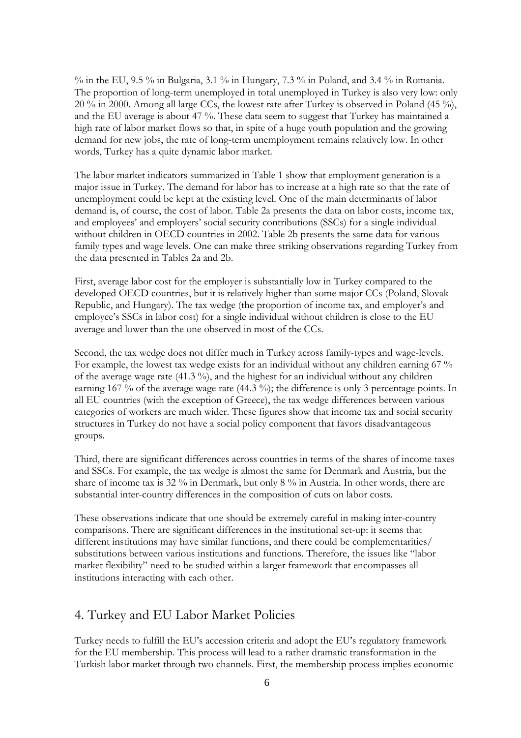% in the EU, 9.5 % in Bulgaria, 3.1 % in Hungary, 7.3 % in Poland, and 3.4 % in Romania. The proportion of long-term unemployed in total unemployed in Turkey is also very low: only 20 % in 2000. Among all large CCs, the lowest rate after Turkey is observed in Poland (45 %), and the EU average is about 47 %. These data seem to suggest that Turkey has maintained a high rate of labor market flows so that, in spite of a huge youth population and the growing demand for new jobs, the rate of long-term unemployment remains relatively low. In other words, Turkey has a quite dynamic labor market.

The labor market indicators summarized in Table 1 show that employment generation is a major issue in Turkey. The demand for labor has to increase at a high rate so that the rate of unemployment could be kept at the existing level. One of the main determinants of labor demand is, of course, the cost of labor. Table 2a presents the data on labor costs, income tax, and employees' and employers' social security contributions (SSCs) for a single individual without children in OECD countries in 2002. Table 2b presents the same data for various family types and wage levels. One can make three striking observations regarding Turkey from the data presented in Tables 2a and 2b.

First, average labor cost for the employer is substantially low in Turkey compared to the developed OECD countries, but it is relatively higher than some major CCs (Poland, Slovak Republic, and Hungary). The tax wedge (the proportion of income tax, and employer's and employee's SSCs in labor cost) for a single individual without children is close to the EU average and lower than the one observed in most of the CCs.

Second, the tax wedge does not differ much in Turkey across family-types and wage-levels. For example, the lowest tax wedge exists for an individual without any children earning 67 % of the average wage rate  $(41.3\%)$ , and the highest for an individual without any children earning 167 % of the average wage rate (44.3 %); the difference is only 3 percentage points. In all EU countries (with the exception of Greece), the tax wedge differences between various categories of workers are much wider. These figures show that income tax and social security structures in Turkey do not have a social policy component that favors disadvantageous groups.

Third, there are significant differences across countries in terms of the shares of income taxes and SSCs. For example, the tax wedge is almost the same for Denmark and Austria, but the share of income tax is 32 % in Denmark, but only 8 % in Austria. In other words, there are substantial inter-country differences in the composition of cuts on labor costs.

These observations indicate that one should be extremely careful in making inter-country comparisons. There are significant differences in the institutional set-up: it seems that different institutions may have similar functions, and there could be complementarities/ substitutions between various institutions and functions. Therefore, the issues like "labor market flexibility" need to be studied within a larger framework that encompasses all institutions interacting with each other.

## 4. Turkey and EU Labor Market Policies

Turkey needs to fulfill the EU's accession criteria and adopt the EU's regulatory framework for the EU membership. This process will lead to a rather dramatic transformation in the Turkish labor market through two channels. First, the membership process implies economic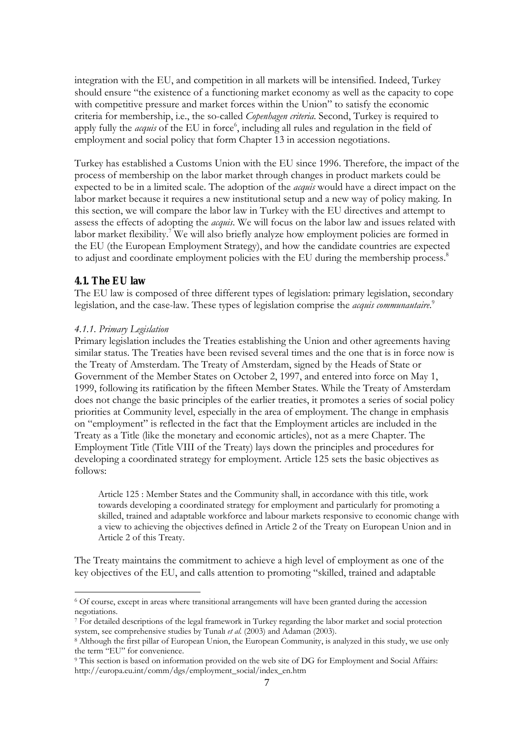integration with the EU, and competition in all markets will be intensified. Indeed, Turkey should ensure "the existence of a functioning market economy as well as the capacity to cope with competitive pressure and market forces within the Union" to satisfy the economic criteria for membership, i.e., the so-called *Copenhagen criteria*. Second, Turkey is required to apply fully the *acquis* of the EU in force<sup>6</sup>, including all rules and regulation in the field of employment and social policy that form Chapter 13 in accession negotiations.

Turkey has established a Customs Union with the EU since 1996. Therefore, the impact of the process of membership on the labor market through changes in product markets could be expected to be in a limited scale. The adoption of the *acquis* would have a direct impact on the labor market because it requires a new institutional setup and a new way of policy making. In this section, we will compare the labor law in Turkey with the EU directives and attempt to assess the effects of adopting the *acquis*. We will focus on the labor law and issues related with labor market flexibility.<sup>7</sup> We will also briefly analyze how employment policies are formed in the EU (the European Employment Strategy), and how the candidate countries are expected to adjust and coordinate employment policies with the EU during the membership process.<sup>8</sup>

### **4.1. The EU law**

 $\overline{a}$ 

The EU law is composed of three different types of legislation: primary legislation, secondary legislation, and the case-law. These types of legislation comprise the *acquis communautaire*. 9

#### *4.1.1. Primary Legislation*

Primary legislation includes the Treaties establishing the Union and other agreements having similar status. The Treaties have been revised several times and the one that is in force now is the Treaty of Amsterdam. The Treaty of Amsterdam, signed by the Heads of State or Government of the Member States on October 2, 1997, and entered into force on May 1, 1999, following its ratification by the fifteen Member States. While the Treaty of Amsterdam does not change the basic principles of the earlier treaties, it promotes a series of social policy priorities at Community level, especially in the area of employment. The change in emphasis on "employment" is reflected in the fact that the Employment articles are included in the Treaty as a Title (like the monetary and economic articles), not as a mere Chapter. The Employment Title (Title VIII of the Treaty) lays down the principles and procedures for developing a coordinated strategy for employment. Article 125 sets the basic objectives as follows:

Article 125 : Member States and the Community shall, in accordance with this title, work towards developing a coordinated strategy for employment and particularly for promoting a skilled, trained and adaptable workforce and labour markets responsive to economic change with a view to achieving the objectives defined in Article 2 of the Treaty on European Union and in Article 2 of this Treaty.

The Treaty maintains the commitment to achieve a high level of employment as one of the key objectives of the EU, and calls attention to promoting "skilled, trained and adaptable

<sup>6</sup> Of course, except in areas where transitional arrangements will have been granted during the accession negotiations.

<sup>7</sup> For detailed descriptions of the legal framework in Turkey regarding the labor market and social protection system, see comprehensive studies by Tunalı *et al.* (2003) and Adaman (2003). 8 Although the first pillar of European Union, the European Community, is analyzed in this study, we use only

the term "EU" for convenience.

<sup>9</sup> This section is based on information provided on the web site of DG for Employment and Social Affairs: http://europa.eu.int/comm/dgs/employment\_social/index\_en.htm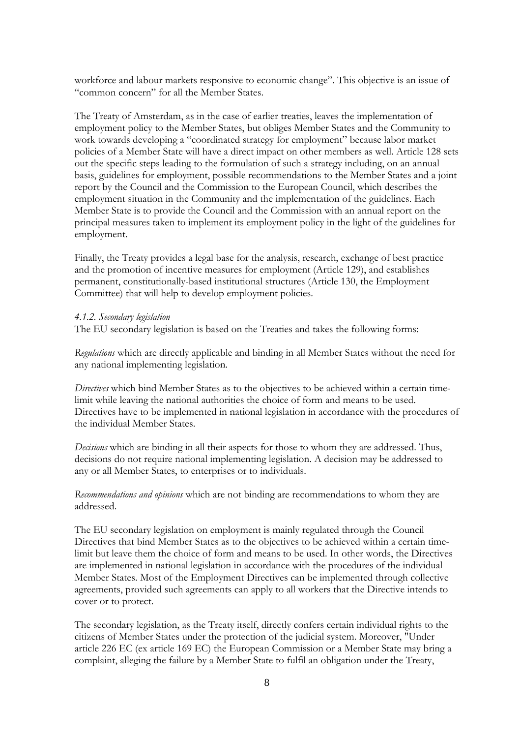workforce and labour markets responsive to economic change". This objective is an issue of "common concern" for all the Member States.

The Treaty of Amsterdam, as in the case of earlier treaties, leaves the implementation of employment policy to the Member States, but obliges Member States and the Community to work towards developing a "coordinated strategy for employment" because labor market policies of a Member State will have a direct impact on other members as well. Article 128 sets out the specific steps leading to the formulation of such a strategy including, on an annual basis, guidelines for employment, possible recommendations to the Member States and a joint report by the Council and the Commission to the European Council, which describes the employment situation in the Community and the implementation of the guidelines. Each Member State is to provide the Council and the Commission with an annual report on the principal measures taken to implement its employment policy in the light of the guidelines for employment.

Finally, the Treaty provides a legal base for the analysis, research, exchange of best practice and the promotion of incentive measures for employment (Article 129), and establishes permanent, constitutionally-based institutional structures (Article 130, the Employment Committee) that will help to develop employment policies.

#### *4.1.2. Secondary legislation*

The EU secondary legislation is based on the Treaties and takes the following forms:

*Regulations* which are directly applicable and binding in all Member States without the need for any national implementing legislation.

*Directives* which bind Member States as to the objectives to be achieved within a certain timelimit while leaving the national authorities the choice of form and means to be used. Directives have to be implemented in national legislation in accordance with the procedures of the individual Member States.

*Decisions* which are binding in all their aspects for those to whom they are addressed. Thus, decisions do not require national implementing legislation. A decision may be addressed to any or all Member States, to enterprises or to individuals.

*Recommendations and opinions* which are not binding are recommendations to whom they are addressed.

The EU secondary legislation on employment is mainly regulated through the Council Directives that bind Member States as to the objectives to be achieved within a certain timelimit but leave them the choice of form and means to be used. In other words, the Directives are implemented in national legislation in accordance with the procedures of the individual Member States. Most of the Employment Directives can be implemented through collective agreements, provided such agreements can apply to all workers that the Directive intends to cover or to protect.

The secondary legislation, as the Treaty itself, directly confers certain individual rights to the citizens of Member States under the protection of the judicial system. Moreover, "Under article 226 EC (ex article 169 EC) the European Commission or a Member State may bring a complaint, alleging the failure by a Member State to fulfil an obligation under the Treaty,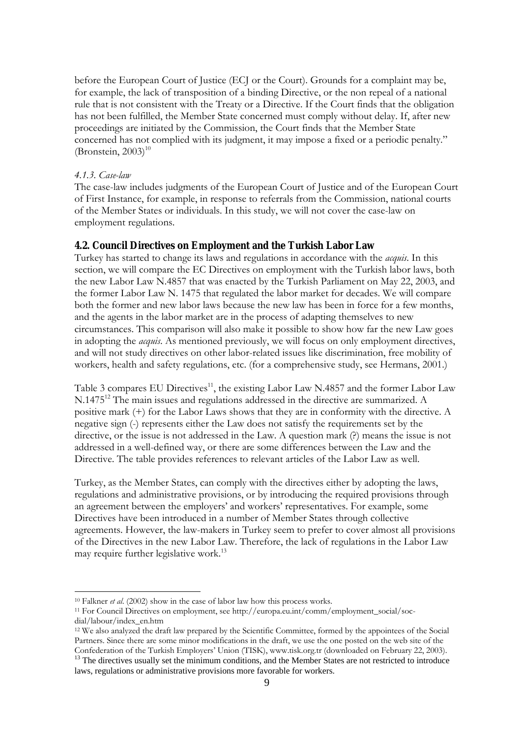before the European Court of Justice (ECJ or the Court). Grounds for a complaint may be, for example, the lack of transposition of a binding Directive, or the non repeal of a national rule that is not consistent with the Treaty or a Directive. If the Court finds that the obligation has not been fulfilled, the Member State concerned must comply without delay. If, after new proceedings are initiated by the Commission, the Court finds that the Member State concerned has not complied with its judgment, it may impose a fixed or a periodic penalty." (Bronstein,  $2003$ )<sup>10</sup>

#### *4.1.3. Case-law*

 $\overline{a}$ 

The case-law includes judgments of the European Court of Justice and of the European Court of First Instance, for example, in response to referrals from the Commission, national courts of the Member States or individuals. In this study, we will not cover the case-law on employment regulations.

#### **4.2. Council Directives on Employment and the Turkish Labor Law**

Turkey has started to change its laws and regulations in accordance with the *acquis*. In this section, we will compare the EC Directives on employment with the Turkish labor laws, both the new Labor Law N.4857 that was enacted by the Turkish Parliament on May 22, 2003, and the former Labor Law N. 1475 that regulated the labor market for decades. We will compare both the former and new labor laws because the new law has been in force for a few months, and the agents in the labor market are in the process of adapting themselves to new circumstances. This comparison will also make it possible to show how far the new Law goes in adopting the *acquis*. As mentioned previously, we will focus on only employment directives, and will not study directives on other labor-related issues like discrimination, free mobility of workers, health and safety regulations, etc. (for a comprehensive study, see Hermans, 2001.)

Table 3 compares EU Directives<sup>11</sup>, the existing Labor Law N.4857 and the former Labor Law N.1475<sup>12</sup> The main issues and regulations addressed in the directive are summarized. A positive mark (+) for the Labor Laws shows that they are in conformity with the directive. A negative sign (-) represents either the Law does not satisfy the requirements set by the directive, or the issue is not addressed in the Law. A question mark (?) means the issue is not addressed in a well-defined way, or there are some differences between the Law and the Directive. The table provides references to relevant articles of the Labor Law as well.

Turkey, as the Member States, can comply with the directives either by adopting the laws, regulations and administrative provisions, or by introducing the required provisions through an agreement between the employers' and workers' representatives. For example, some Directives have been introduced in a number of Member States through collective agreements. However, the law-makers in Turkey seem to prefer to cover almost all provisions of the Directives in the new Labor Law. Therefore, the lack of regulations in the Labor Law may require further legislative work.<sup>13</sup>

<sup>&</sup>lt;sup>10</sup> Falkner *et al.* (2002) show in the case of labor law how this process works.<br><sup>11</sup> For Council Directives on employment, see http://europa.eu.int/comm/employment\_social/socdial/labour/index\_en.htm

<sup>12</sup> We also analyzed the draft law prepared by the Scientific Committee, formed by the appointees of the Social Partners. Since there are some minor modifications in the draft, we use the one posted on the web site of the Confederation of the Turkish Employers' Union (TISK), www.tisk.org.tr (downloaded on February 22, 2003).

 $^{13}$  The directives usually set the minimum conditions, and the Member States are not restricted to introduce laws, regulations or administrative provisions more favorable for workers.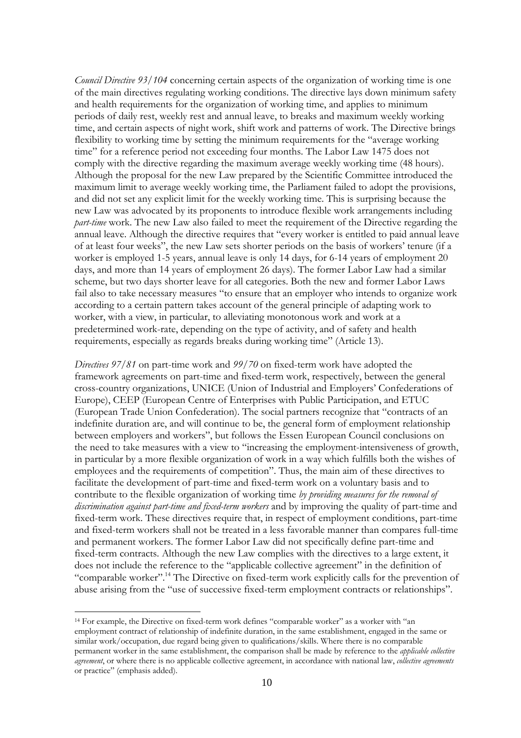*Council Directive 93/104* concerning certain aspects of the organization of working time is one of the main directives regulating working conditions. The directive lays down minimum safety and health requirements for the organization of working time, and applies to minimum periods of daily rest, weekly rest and annual leave, to breaks and maximum weekly working time, and certain aspects of night work, shift work and patterns of work. The Directive brings flexibility to working time by setting the minimum requirements for the "average working time" for a reference period not exceeding four months. The Labor Law 1475 does not comply with the directive regarding the maximum average weekly working time (48 hours). Although the proposal for the new Law prepared by the Scientific Committee introduced the maximum limit to average weekly working time, the Parliament failed to adopt the provisions, and did not set any explicit limit for the weekly working time. This is surprising because the new Law was advocated by its proponents to introduce flexible work arrangements including *part-time* work. The new Law also failed to meet the requirement of the Directive regarding the annual leave. Although the directive requires that "every worker is entitled to paid annual leave of at least four weeks", the new Law sets shorter periods on the basis of workers' tenure (if a worker is employed 1-5 years, annual leave is only 14 days, for 6-14 years of employment 20 days, and more than 14 years of employment 26 days). The former Labor Law had a similar scheme, but two days shorter leave for all categories. Both the new and former Labor Laws fail also to take necessary measures "to ensure that an employer who intends to organize work according to a certain pattern takes account of the general principle of adapting work to worker, with a view, in particular, to alleviating monotonous work and work at a predetermined work-rate, depending on the type of activity, and of safety and health requirements, especially as regards breaks during working time" (Article 13).

*Directives 97/81* on part-time work and *99/70* on fixed-term work have adopted the framework agreements on part-time and fixed-term work, respectively, between the general cross-country organizations, UNICE (Union of Industrial and Employers' Confederations of Europe), CEEP (European Centre of Enterprises with Public Participation, and ETUC (European Trade Union Confederation). The social partners recognize that "contracts of an indefinite duration are, and will continue to be, the general form of employment relationship between employers and workers", but follows the Essen European Council conclusions on the need to take measures with a view to "increasing the employment-intensiveness of growth, in particular by a more flexible organization of work in a way which fulfills both the wishes of employees and the requirements of competition". Thus, the main aim of these directives to facilitate the development of part-time and fixed-term work on a voluntary basis and to contribute to the flexible organization of working time *by providing measures for the removal of discrimination against part-time and fixed-term workers* and by improving the quality of part-time and fixed-term work. These directives require that, in respect of employment conditions, part-time and fixed-term workers shall not be treated in a less favorable manner than compares full-time and permanent workers. The former Labor Law did not specifically define part-time and fixed-term contracts. Although the new Law complies with the directives to a large extent, it does not include the reference to the "applicable collective agreement" in the definition of "comparable worker".14 The Directive on fixed-term work explicitly calls for the prevention of abuse arising from the "use of successive fixed-term employment contracts or relationships".

<sup>14</sup> For example, the Directive on fixed-term work defines "comparable worker" as a worker with "an employment contract of relationship of indefinite duration, in the same establishment, engaged in the same or similar work/occupation, due regard being given to qualifications/skills. Where there is no comparable permanent worker in the same establishment, the comparison shall be made by reference to the *applicable collective agreement*, or where there is no applicable collective agreement, in accordance with national law, *collective agreements* or practice" (emphasis added).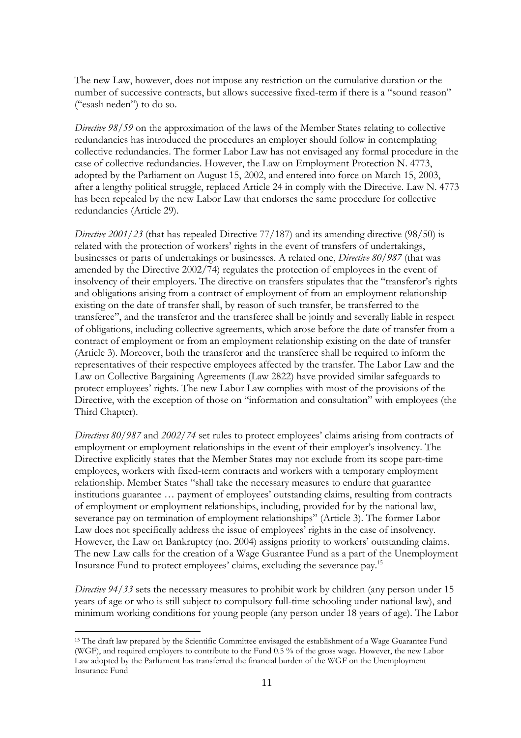The new Law, however, does not impose any restriction on the cumulative duration or the number of successive contracts, but allows successive fixed-term if there is a "sound reason" ("esaslı neden") to do so.

*Directive 98/59* on the approximation of the laws of the Member States relating to collective redundancies has introduced the procedures an employer should follow in contemplating collective redundancies. The former Labor Law has not envisaged any formal procedure in the case of collective redundancies. However, the Law on Employment Protection N. 4773, adopted by the Parliament on August 15, 2002, and entered into force on March 15, 2003, after a lengthy political struggle, replaced Article 24 in comply with the Directive. Law N. 4773 has been repealed by the new Labor Law that endorses the same procedure for collective redundancies (Article 29).

*Directive 2001/23* (that has repealed Directive 77/187) and its amending directive (98/50) is related with the protection of workers' rights in the event of transfers of undertakings, businesses or parts of undertakings or businesses. A related one, *Directive 80/987* (that was amended by the Directive 2002/74) regulates the protection of employees in the event of insolvency of their employers. The directive on transfers stipulates that the "transferor's rights and obligations arising from a contract of employment of from an employment relationship existing on the date of transfer shall, by reason of such transfer, be transferred to the transferee", and the transferor and the transferee shall be jointly and severally liable in respect of obligations, including collective agreements, which arose before the date of transfer from a contract of employment or from an employment relationship existing on the date of transfer (Article 3). Moreover, both the transferor and the transferee shall be required to inform the representatives of their respective employees affected by the transfer. The Labor Law and the Law on Collective Bargaining Agreements (Law 2822) have provided similar safeguards to protect employees' rights. The new Labor Law complies with most of the provisions of the Directive, with the exception of those on "information and consultation" with employees (the Third Chapter).

*Directives 80/987* and *2002/74* set rules to protect employees' claims arising from contracts of employment or employment relationships in the event of their employer's insolvency. The Directive explicitly states that the Member States may not exclude from its scope part-time employees, workers with fixed-term contracts and workers with a temporary employment relationship. Member States "shall take the necessary measures to endure that guarantee institutions guarantee … payment of employees' outstanding claims, resulting from contracts of employment or employment relationships, including, provided for by the national law, severance pay on termination of employment relationships" (Article 3). The former Labor Law does not specifically address the issue of employees' rights in the case of insolvency. However, the Law on Bankruptcy (no. 2004) assigns priority to workers' outstanding claims. The new Law calls for the creation of a Wage Guarantee Fund as a part of the Unemployment Insurance Fund to protect employees' claims, excluding the severance pay.15

*Directive 94/33* sets the necessary measures to prohibit work by children (any person under 15 years of age or who is still subject to compulsory full-time schooling under national law), and minimum working conditions for young people (any person under 18 years of age). The Labor

<sup>15</sup> The draft law prepared by the Scientific Committee envisaged the establishment of a Wage Guarantee Fund (WGF), and required employers to contribute to the Fund 0.5 % of the gross wage. However, the new Labor Law adopted by the Parliament has transferred the financial burden of the WGF on the Unemployment Insurance Fund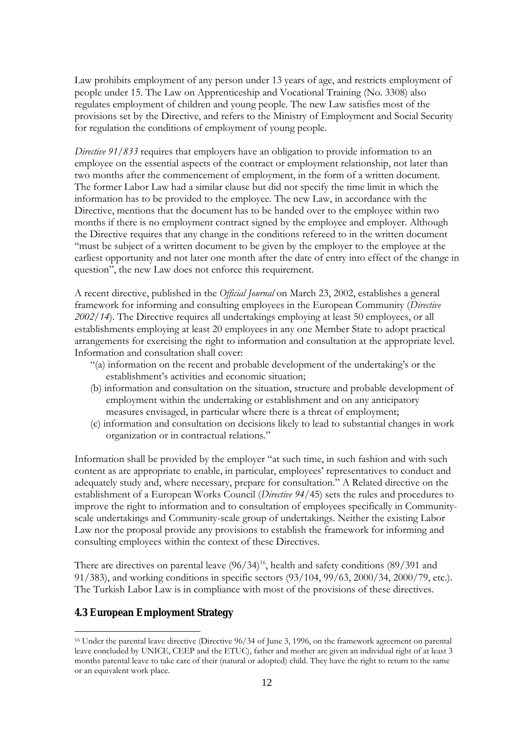Law prohibits employment of any person under 13 years of age, and restricts employment of people under 15. The Law on Apprenticeship and Vocational Training (No. 3308) also regulates employment of children and young people. The new Law satisfies most of the provisions set by the Directive, and refers to the Ministry of Employment and Social Security for regulation the conditions of employment of young people.

*Directive 91/833* requires that employers have an obligation to provide information to an employee on the essential aspects of the contract or employment relationship, not later than two months after the commencement of employment, in the form of a written document. The former Labor Law had a similar clause but did not specify the time limit in which the information has to be provided to the employee. The new Law, in accordance with the Directive, mentions that the document has to be handed over to the employee within two months if there is no employment contract signed by the employee and employer. Although the Directive requires that any change in the conditions refereed to in the written document "must be subject of a written document to be given by the employer to the employee at the earliest opportunity and not later one month after the date of entry into effect of the change in question", the new Law does not enforce this requirement.

A recent directive, published in the *Official Journal* on March 23, 2002, establishes a general framework for informing and consulting employees in the European Community (*Directive 2002/14*). The Directive requires all undertakings employing at least 50 employees, or all establishments employing at least 20 employees in any one Member State to adopt practical arrangements for exercising the right to information and consultation at the appropriate level. Information and consultation shall cover:

- "(a) information on the recent and probable development of the undertaking's or the establishment's activities and economic situation;
- (b) information and consultation on the situation, structure and probable development of employment within the undertaking or establishment and on any anticipatory measures envisaged, in particular where there is a threat of employment;
- (c) information and consultation on decisions likely to lead to substantial changes in work organization or in contractual relations."

Information shall be provided by the employer "at such time, in such fashion and with such content as are appropriate to enable, in particular, employees' representatives to conduct and adequately study and, where necessary, prepare for consultation." A Related directive on the establishment of a European Works Council (*Directive 94/*45) sets the rules and procedures to improve the right to information and to consultation of employees specifically in Communityscale undertakings and Community-scale group of undertakings. Neither the existing Labor Law nor the proposal provide any provisions to establish the framework for informing and consulting employees within the context of these Directives.

There are directives on parental leave  $(96/34)^{16}$ , health and safety conditions  $(89/391)$  and 91/383), and working conditions in specific sectors (93/104, 99/63, 2000/34, 2000/79, etc.). The Turkish Labor Law is in compliance with most of the provisions of these directives.

### **4.3 European Employment Strategy**

<sup>16</sup> Under the parental leave directive (Directive 96/34 of June 3, 1996, on the framework agreement on parental leave concluded by UNICE, CEEP and the ETUC), father and mother are given an individual right of at least 3 months parental leave to take care of their (natural or adopted) child. They have the right to return to the same or an equivalent work place.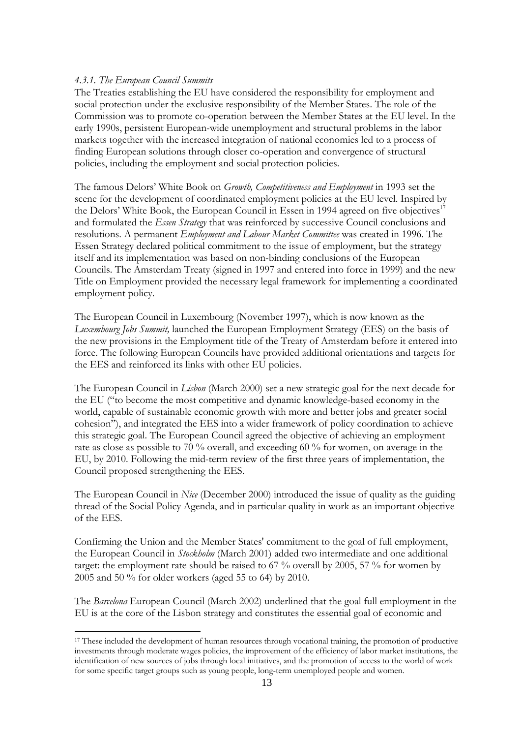### *4.3.1. The European Council Summits*

 $\overline{a}$ 

The Treaties establishing the EU have considered the responsibility for employment and social protection under the exclusive responsibility of the Member States. The role of the Commission was to promote co-operation between the Member States at the EU level. In the early 1990s, persistent European-wide unemployment and structural problems in the labor markets together with the increased integration of national economies led to a process of finding European solutions through closer co-operation and convergence of structural policies, including the employment and social protection policies.

The famous Delors' White Book on *Growth, Competitiveness and Employment* in 1993 set the scene for the development of coordinated employment policies at the EU level. Inspired by the Delors' White Book, the European Council in Essen in 1994 agreed on five objectives<sup>17</sup> and formulated the *Essen Strategy* that was reinforced by successive Council conclusions and resolutions. A permanent *Employment and Labour Market Committee* was created in 1996. The Essen Strategy declared political commitment to the issue of employment, but the strategy itself and its implementation was based on non-binding conclusions of the European Councils. The Amsterdam Treaty (signed in 1997 and entered into force in 1999) and the new Title on Employment provided the necessary legal framework for implementing a coordinated employment policy.

The European Council in Luxembourg (November 1997), which is now known as the *Luxembourg Jobs Summit,* launched the European Employment Strategy (EES) on the basis of the new provisions in the Employment title of the Treaty of Amsterdam before it entered into force. The following European Councils have provided additional orientations and targets for the EES and reinforced its links with other EU policies.

The European Council in *Lisbon* (March 2000) set a new strategic goal for the next decade for the EU ("to become the most competitive and dynamic knowledge-based economy in the world, capable of sustainable economic growth with more and better jobs and greater social cohesion"), and integrated the EES into a wider framework of policy coordination to achieve this strategic goal. The European Council agreed the objective of achieving an employment rate as close as possible to 70 % overall, and exceeding 60 % for women, on average in the EU, by 2010. Following the mid-term review of the first three years of implementation, the Council proposed strengthening the EES.

The European Council in *Nice* (December 2000) introduced the issue of quality as the guiding thread of the Social Policy Agenda, and in particular quality in work as an important objective of the EES.

Confirming the Union and the Member States' commitment to the goal of full employment, the European Council in *Stockholm* (March 2001) added two intermediate and one additional target: the employment rate should be raised to  $67\%$  overall by 2005, 57% for women by 2005 and 50 % for older workers (aged 55 to 64) by 2010.

The *Barcelona* European Council (March 2002) underlined that the goal full employment in the EU is at the core of the Lisbon strategy and constitutes the essential goal of economic and

<sup>&</sup>lt;sup>17</sup> These included the development of human resources through vocational training, the promotion of productive investments through moderate wages policies, the improvement of the efficiency of labor market institutions, the identification of new sources of jobs through local initiatives, and the promotion of access to the world of work for some specific target groups such as young people, long-term unemployed people and women.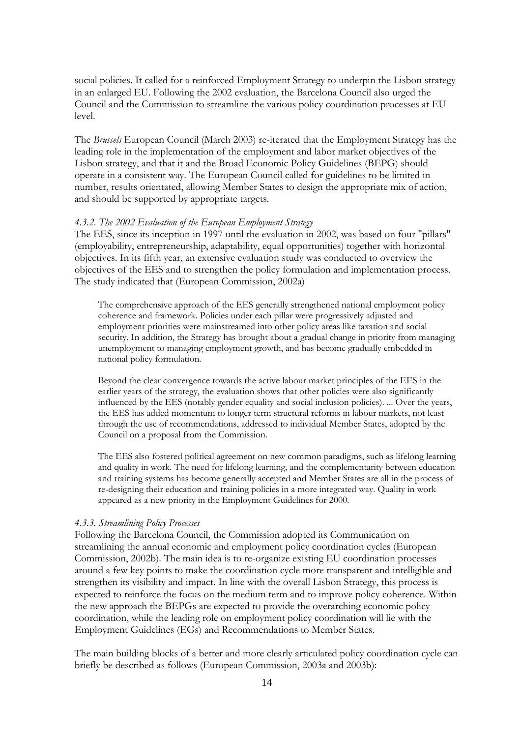social policies. It called for a reinforced Employment Strategy to underpin the Lisbon strategy in an enlarged EU. Following the 2002 evaluation, the Barcelona Council also urged the Council and the Commission to streamline the various policy coordination processes at EU level.

The *Brussels* European Council (March 2003) re-iterated that the Employment Strategy has the leading role in the implementation of the employment and labor market objectives of the Lisbon strategy, and that it and the Broad Economic Policy Guidelines (BEPG) should operate in a consistent way. The European Council called for guidelines to be limited in number, results orientated, allowing Member States to design the appropriate mix of action, and should be supported by appropriate targets.

#### *4.3.2. The 2002 Evaluation of the European Employment Strategy*

The EES, since its inception in 1997 until the evaluation in 2002, was based on four "pillars" (employability, entrepreneurship, adaptability, equal opportunities) together with horizontal objectives. In its fifth year, an extensive evaluation study was conducted to overview the objectives of the EES and to strengthen the policy formulation and implementation process. The study indicated that (European Commission, 2002a)

The comprehensive approach of the EES generally strengthened national employment policy coherence and framework. Policies under each pillar were progressively adjusted and employment priorities were mainstreamed into other policy areas like taxation and social security. In addition, the Strategy has brought about a gradual change in priority from managing unemployment to managing employment growth, and has become gradually embedded in national policy formulation.

Beyond the clear convergence towards the active labour market principles of the EES in the earlier years of the strategy, the evaluation shows that other policies were also significantly influenced by the EES (notably gender equality and social inclusion policies). ... Over the years, the EES has added momentum to longer term structural reforms in labour markets, not least through the use of recommendations, addressed to individual Member States, adopted by the Council on a proposal from the Commission.

The EES also fostered political agreement on new common paradigms, such as lifelong learning and quality in work. The need for lifelong learning, and the complementarity between education and training systems has become generally accepted and Member States are all in the process of re-designing their education and training policies in a more integrated way. Quality in work appeared as a new priority in the Employment Guidelines for 2000.

### *4.3.3. Streamlining Policy Processes*

Following the Barcelona Council, the Commission adopted its Communication on streamlining the annual economic and employment policy coordination cycles (European Commission, 2002b). The main idea is to re-organize existing EU coordination processes around a few key points to make the coordination cycle more transparent and intelligible and strengthen its visibility and impact. In line with the overall Lisbon Strategy, this process is expected to reinforce the focus on the medium term and to improve policy coherence. Within the new approach the BEPGs are expected to provide the overarching economic policy coordination, while the leading role on employment policy coordination will lie with the Employment Guidelines (EGs) and Recommendations to Member States.

The main building blocks of a better and more clearly articulated policy coordination cycle can briefly be described as follows (European Commission, 2003a and 2003b):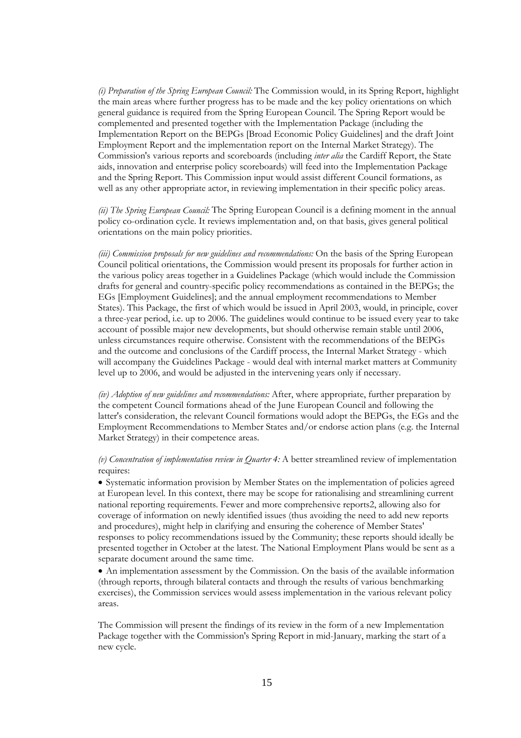*(i) Preparation of the Spring European Council:* The Commission would, in its Spring Report, highlight the main areas where further progress has to be made and the key policy orientations on which general guidance is required from the Spring European Council. The Spring Report would be complemented and presented together with the Implementation Package (including the Implementation Report on the BEPGs [Broad Economic Policy Guidelines] and the draft Joint Employment Report and the implementation report on the Internal Market Strategy). The Commission's various reports and scoreboards (including *inter alia* the Cardiff Report, the State aids, innovation and enterprise policy scoreboards) will feed into the Implementation Package and the Spring Report. This Commission input would assist different Council formations, as well as any other appropriate actor, in reviewing implementation in their specific policy areas.

*(ii) The Spring European Council:* The Spring European Council is a defining moment in the annual policy co-ordination cycle. It reviews implementation and, on that basis, gives general political orientations on the main policy priorities.

*(iii) Commission proposals for new guidelines and recommendations: On the basis of the Spring European* Council political orientations, the Commission would present its proposals for further action in the various policy areas together in a Guidelines Package (which would include the Commission drafts for general and country-specific policy recommendations as contained in the BEPGs; the EGs [Employment Guidelines]; and the annual employment recommendations to Member States). This Package, the first of which would be issued in April 2003, would, in principle, cover a three-year period, i.e. up to 2006. The guidelines would continue to be issued every year to take account of possible major new developments, but should otherwise remain stable until 2006, unless circumstances require otherwise. Consistent with the recommendations of the BEPGs and the outcome and conclusions of the Cardiff process, the Internal Market Strategy - which will accompany the Guidelines Package - would deal with internal market matters at Community level up to 2006, and would be adjusted in the intervening years only if necessary.

*(iv) Adoption of new guidelines and recommendations:* After, where appropriate, further preparation by the competent Council formations ahead of the June European Council and following the latter's consideration, the relevant Council formations would adopt the BEPGs, the EGs and the Employment Recommendations to Member States and/or endorse action plans (e.g. the Internal Market Strategy) in their competence areas.

*(v) Concentration of implementation review in Quarter 4:* A better streamlined review of implementation requires:

• Systematic information provision by Member States on the implementation of policies agreed at European level. In this context, there may be scope for rationalising and streamlining current national reporting requirements. Fewer and more comprehensive reports2, allowing also for coverage of information on newly identified issues (thus avoiding the need to add new reports and procedures), might help in clarifying and ensuring the coherence of Member States' responses to policy recommendations issued by the Community; these reports should ideally be presented together in October at the latest. The National Employment Plans would be sent as a separate document around the same time.

• An implementation assessment by the Commission. On the basis of the available information (through reports, through bilateral contacts and through the results of various benchmarking exercises), the Commission services would assess implementation in the various relevant policy areas.

The Commission will present the findings of its review in the form of a new Implementation Package together with the Commission's Spring Report in mid-January, marking the start of a new cycle.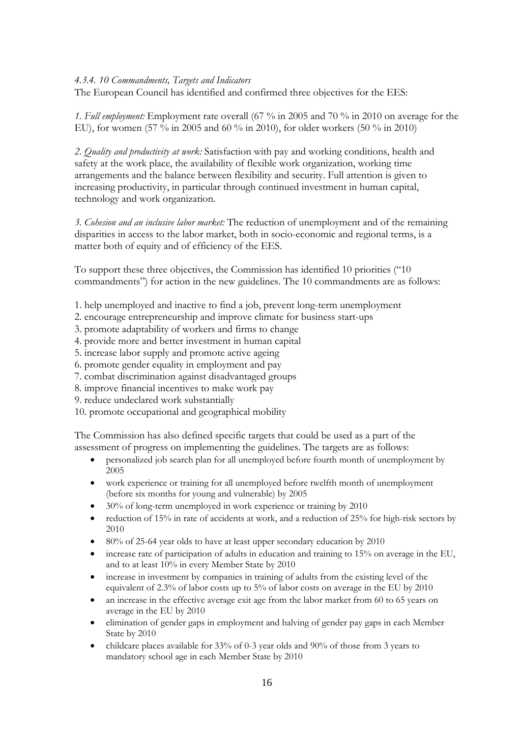### *4.3.4. 10 Commandments, Targets and Indicators*

The European Council has identified and confirmed three objectives for the EES:

*1. Full employment:* Employment rate overall (67 % in 2005 and 70 % in 2010 on average for the EU), for women (57 % in 2005 and 60 % in 2010), for older workers (50 % in 2010)

*2. Quality and productivity at work:* Satisfaction with pay and working conditions, health and safety at the work place, the availability of flexible work organization, working time arrangements and the balance between flexibility and security. Full attention is given to increasing productivity, in particular through continued investment in human capital, technology and work organization.

*3. Cohesion and an inclusive labor market:* The reduction of unemployment and of the remaining disparities in access to the labor market, both in socio-economic and regional terms, is a matter both of equity and of efficiency of the EES.

To support these three objectives, the Commission has identified 10 priorities ("10 commandments") for action in the new guidelines. The 10 commandments are as follows:

- 1. help unemployed and inactive to find a job, prevent long-term unemployment
- 2. encourage entrepreneurship and improve climate for business start-ups
- 3. promote adaptability of workers and firms to change
- 4. provide more and better investment in human capital
- 5. increase labor supply and promote active ageing
- 6. promote gender equality in employment and pay
- 7. combat discrimination against disadvantaged groups
- 8. improve financial incentives to make work pay
- 9. reduce undeclared work substantially
- 10. promote occupational and geographical mobility

The Commission has also defined specific targets that could be used as a part of the assessment of progress on implementing the guidelines. The targets are as follows:

- personalized job search plan for all unemployed before fourth month of unemployment by 2005
- work experience or training for all unemployed before twelfth month of unemployment (before six months for young and vulnerable) by 2005
- 30% of long-term unemployed in work experience or training by 2010
- reduction of 15% in rate of accidents at work, and a reduction of 25% for high-risk sectors by 2010
- 80% of 25-64 year olds to have at least upper secondary education by 2010
- increase rate of participation of adults in education and training to 15% on average in the EU, and to at least 10% in every Member State by 2010
- increase in investment by companies in training of adults from the existing level of the equivalent of 2.3% of labor costs up to 5% of labor costs on average in the EU by 2010
- an increase in the effective average exit age from the labor market from 60 to 65 years on average in the EU by 2010
- elimination of gender gaps in employment and halving of gender pay gaps in each Member State by 2010
- childcare places available for 33% of 0-3 year olds and 90% of those from 3 years to mandatory school age in each Member State by 2010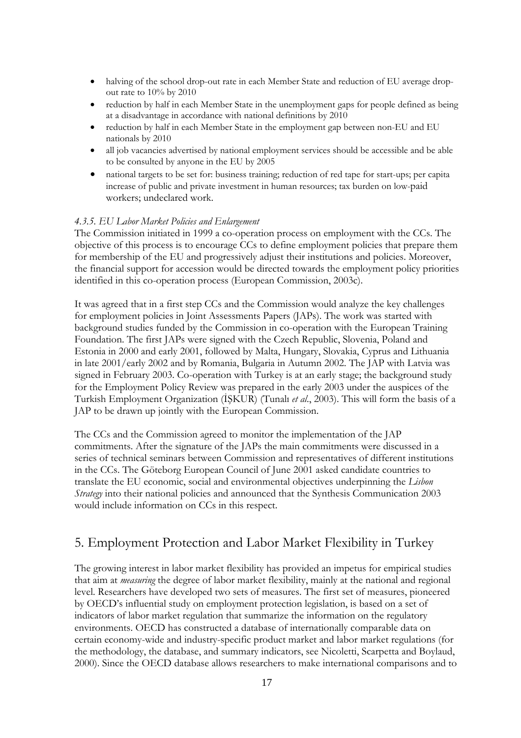- halving of the school drop-out rate in each Member State and reduction of EU average dropout rate to 10% by 2010
- reduction by half in each Member State in the unemployment gaps for people defined as being at a disadvantage in accordance with national definitions by 2010
- reduction by half in each Member State in the employment gap between non-EU and EU nationals by 2010
- all job vacancies advertised by national employment services should be accessible and be able to be consulted by anyone in the EU by 2005
- national targets to be set for: business training; reduction of red tape for start-ups; per capita increase of public and private investment in human resources; tax burden on low-paid workers; undeclared work.

### *4.3.5. EU Labor Market Policies and Enlargement*

The Commission initiated in 1999 a co-operation process on employment with the CCs. The objective of this process is to encourage CCs to define employment policies that prepare them for membership of the EU and progressively adjust their institutions and policies. Moreover, the financial support for accession would be directed towards the employment policy priorities identified in this co-operation process (European Commission, 2003c).

It was agreed that in a first step CCs and the Commission would analyze the key challenges for employment policies in Joint Assessments Papers (JAPs). The work was started with background studies funded by the Commission in co-operation with the European Training Foundation. The first JAPs were signed with the Czech Republic, Slovenia, Poland and Estonia in 2000 and early 2001, followed by Malta, Hungary, Slovakia, Cyprus and Lithuania in late 2001/early 2002 and by Romania, Bulgaria in Autumn 2002. The JAP with Latvia was signed in February 2003. Co-operation with Turkey is at an early stage; the background study for the Employment Policy Review was prepared in the early 2003 under the auspices of the Turkish Employment Organization (İŞKUR) (Tunalı *et al*., 2003). This will form the basis of a JAP to be drawn up jointly with the European Commission.

The CCs and the Commission agreed to monitor the implementation of the JAP commitments. After the signature of the JAPs the main commitments were discussed in a series of technical seminars between Commission and representatives of different institutions in the CCs. The Göteborg European Council of June 2001 asked candidate countries to translate the EU economic, social and environmental objectives underpinning the *Lisbon Strategy* into their national policies and announced that the Synthesis Communication 2003 would include information on CCs in this respect.

## 5. Employment Protection and Labor Market Flexibility in Turkey

The growing interest in labor market flexibility has provided an impetus for empirical studies that aim at *measuring* the degree of labor market flexibility, mainly at the national and regional level. Researchers have developed two sets of measures. The first set of measures, pioneered by OECD's influential study on employment protection legislation, is based on a set of indicators of labor market regulation that summarize the information on the regulatory environments. OECD has constructed a database of internationally comparable data on certain economy-wide and industry-specific product market and labor market regulations (for the methodology, the database, and summary indicators, see Nicoletti, Scarpetta and Boylaud, 2000). Since the OECD database allows researchers to make international comparisons and to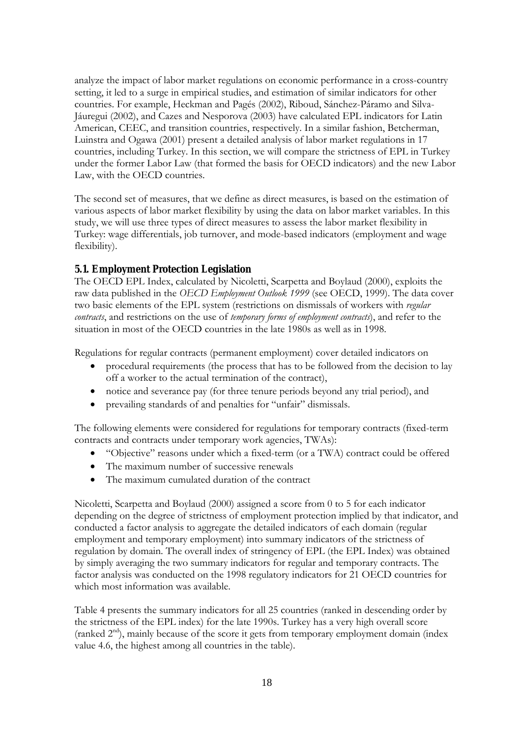analyze the impact of labor market regulations on economic performance in a cross-country setting, it led to a surge in empirical studies, and estimation of similar indicators for other countries. For example, Heckman and Pagés (2002), Riboud, Sánchez-Páramo and Silva-Jáuregui (2002), and Cazes and Nesporova (2003) have calculated EPL indicators for Latin American, CEEC, and transition countries, respectively. In a similar fashion, Betcherman, Luinstra and Ogawa (2001) present a detailed analysis of labor market regulations in 17 countries, including Turkey. In this section, we will compare the strictness of EPL in Turkey under the former Labor Law (that formed the basis for OECD indicators) and the new Labor Law, with the OECD countries.

The second set of measures, that we define as direct measures, is based on the estimation of various aspects of labor market flexibility by using the data on labor market variables. In this study, we will use three types of direct measures to assess the labor market flexibility in Turkey: wage differentials, job turnover, and mode-based indicators (employment and wage flexibility).

### **5.1. Employment Protection Legislation**

The OECD EPL Index, calculated by Nicoletti, Scarpetta and Boylaud (2000), exploits the raw data published in the *OECD Employment Outlook 1999* (see OECD, 1999). The data cover two basic elements of the EPL system (restrictions on dismissals of workers with *regular contracts*, and restrictions on the use of *temporary forms of employment contracts*), and refer to the situation in most of the OECD countries in the late 1980s as well as in 1998.

Regulations for regular contracts (permanent employment) cover detailed indicators on

- procedural requirements (the process that has to be followed from the decision to lay off a worker to the actual termination of the contract),
- notice and severance pay (for three tenure periods beyond any trial period), and
- prevailing standards of and penalties for "unfair" dismissals.

The following elements were considered for regulations for temporary contracts (fixed-term contracts and contracts under temporary work agencies, TWAs):

- "Objective" reasons under which a fixed-term (or a TWA) contract could be offered
- The maximum number of successive renewals
- The maximum cumulated duration of the contract

Nicoletti, Scarpetta and Boylaud (2000) assigned a score from 0 to 5 for each indicator depending on the degree of strictness of employment protection implied by that indicator, and conducted a factor analysis to aggregate the detailed indicators of each domain (regular employment and temporary employment) into summary indicators of the strictness of regulation by domain. The overall index of stringency of EPL (the EPL Index) was obtained by simply averaging the two summary indicators for regular and temporary contracts. The factor analysis was conducted on the 1998 regulatory indicators for 21 OECD countries for which most information was available.

Table 4 presents the summary indicators for all 25 countries (ranked in descending order by the strictness of the EPL index) for the late 1990s. Turkey has a very high overall score (ranked  $2<sup>nd</sup>$ ), mainly because of the score it gets from temporary employment domain (index value 4.6, the highest among all countries in the table).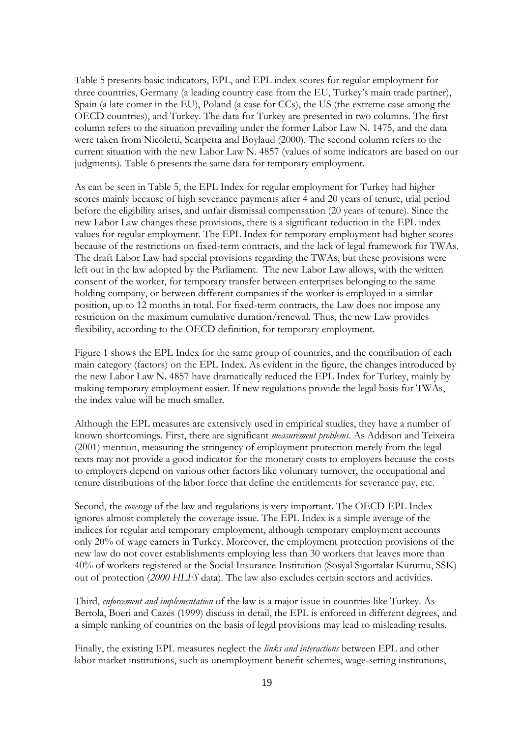Table 5 presents basic indicators, EPL, and EPL index scores for regular employment for three countries, Germany (a leading country case from the EU, Turkey's main trade partner), Spain (a late comer in the EU), Poland (a case for CCs), the US (the extreme case among the OECD countries), and Turkey. The data for Turkey are presented in two columns. The first column refers to the situation prevailing under the former Labor Law N. 1475, and the data were taken from Nicoletti, Scarpetta and Boylaud (2000). The second column refers to the current situation with the new Labor Law N. 4857 (values of some indicators are based on our judgments). Table 6 presents the same data for temporary employment.

As can be seen in Table 5, the EPL Index for regular employment for Turkey had higher scores mainly because of high severance payments after 4 and 20 years of tenure, trial period before the eligibility arises, and unfair dismissal compensation (20 years of tenure). Since the new Labor Law changes these provisions, there is a significant reduction in the EPL index values for regular employment. The EPL Index for temporary employment had higher scores because of the restrictions on fixed-term contracts, and the lack of legal framework for TWAs. The draft Labor Law had special provisions regarding the TWAs, but these provisions were left out in the law adopted by the Parliament. The new Labor Law allows, with the written consent of the worker, for temporary transfer between enterprises belonging to the same holding company, or between different companies if the worker is employed in a similar position, up to 12 months in total. For fixed-term contracts, the Law does not impose any restriction on the maximum cumulative duration/renewal. Thus, the new Law provides flexibility, according to the OECD definition, for temporary employment.

Figure 1 shows the EPL Index for the same group of countries, and the contribution of each main category (factors) on the EPL Index. As evident in the figure, the changes introduced by the new Labor Law N. 4857 have dramatically reduced the EPL Index for Turkey, mainly by making temporary employment easier. If new regulations provide the legal basis for TWAs, the index value will be much smaller.

Although the EPL measures are extensively used in empirical studies, they have a number of known shortcomings. First, there are significant *measurement problems*. As Addison and Teixeira (2001) mention, measuring the stringency of employment protection merely from the legal texts may not provide a good indicator for the monetary costs to employers because the costs to employers depend on various other factors like voluntary turnover, the occupational and tenure distributions of the labor force that define the entitlements for severance pay, etc.

Second, the *coverage* of the law and regulations is very important. The OECD EPL Index ignores almost completely the coverage issue. The EPL Index is a simple average of the indices for regular and temporary employment, although temporary employment accounts only 20% of wage earners in Turkey. Moreover, the employment protection provisions of the new law do not cover establishments employing less than 30 workers that leaves more than 40% of workers registered at the Social Insurance Institution (Sosyal Sigortalar Kurumu, SSK) out of protection (*2000 HLFS* data). The law also excludes certain sectors and activities.

Third, *enforcement and implementation* of the law is a major issue in countries like Turkey. As Bertola, Boeri and Cazes (1999) discuss in detail, the EPL is enforced in different degrees, and a simple ranking of countries on the basis of legal provisions may lead to misleading results.

Finally, the existing EPL measures neglect the *links and interactions* between EPL and other labor market institutions, such as unemployment benefit schemes, wage-setting institutions,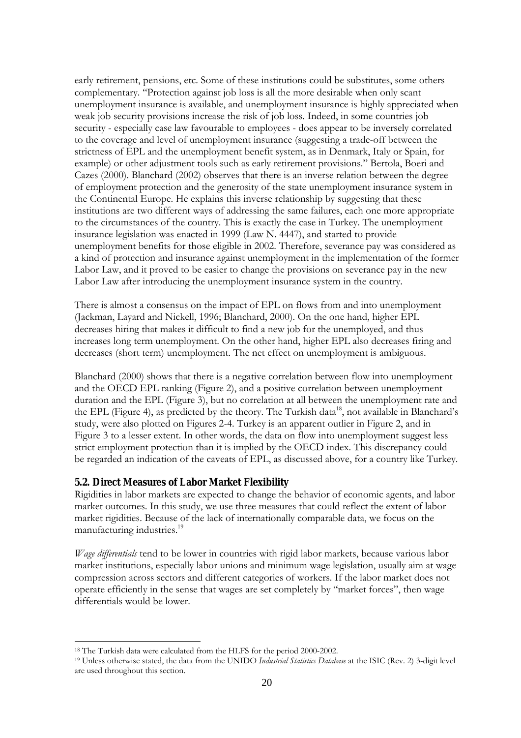early retirement, pensions, etc. Some of these institutions could be substitutes, some others complementary. "Protection against job loss is all the more desirable when only scant unemployment insurance is available, and unemployment insurance is highly appreciated when weak job security provisions increase the risk of job loss. Indeed, in some countries job security - especially case law favourable to employees - does appear to be inversely correlated to the coverage and level of unemployment insurance (suggesting a trade-off between the strictness of EPL and the unemployment benefit system, as in Denmark, Italy or Spain, for example) or other adjustment tools such as early retirement provisions." Bertola, Boeri and Cazes (2000). Blanchard (2002) observes that there is an inverse relation between the degree of employment protection and the generosity of the state unemployment insurance system in the Continental Europe. He explains this inverse relationship by suggesting that these institutions are two different ways of addressing the same failures, each one more appropriate to the circumstances of the country. This is exactly the case in Turkey. The unemployment insurance legislation was enacted in 1999 (Law N. 4447), and started to provide unemployment benefits for those eligible in 2002. Therefore, severance pay was considered as a kind of protection and insurance against unemployment in the implementation of the former Labor Law, and it proved to be easier to change the provisions on severance pay in the new Labor Law after introducing the unemployment insurance system in the country.

There is almost a consensus on the impact of EPL on flows from and into unemployment (Jackman, Layard and Nickell, 1996; Blanchard, 2000). On the one hand, higher EPL decreases hiring that makes it difficult to find a new job for the unemployed, and thus increases long term unemployment. On the other hand, higher EPL also decreases firing and decreases (short term) unemployment. The net effect on unemployment is ambiguous.

Blanchard (2000) shows that there is a negative correlation between flow into unemployment and the OECD EPL ranking (Figure 2), and a positive correlation between unemployment duration and the EPL (Figure 3), but no correlation at all between the unemployment rate and the EPL (Figure 4), as predicted by the theory. The Turkish data<sup>18</sup>, not available in Blanchard's study, were also plotted on Figures 2-4. Turkey is an apparent outlier in Figure 2, and in Figure 3 to a lesser extent. In other words, the data on flow into unemployment suggest less strict employment protection than it is implied by the OECD index. This discrepancy could be regarded an indication of the caveats of EPL, as discussed above, for a country like Turkey.

### **5.2. Direct Measures of Labor Market Flexibility**

Rigidities in labor markets are expected to change the behavior of economic agents, and labor market outcomes. In this study, we use three measures that could reflect the extent of labor market rigidities. Because of the lack of internationally comparable data, we focus on the manufacturing industries.<sup>19</sup>

*Wage differentials* tend to be lower in countries with rigid labor markets, because various labor market institutions, especially labor unions and minimum wage legislation, usually aim at wage compression across sectors and different categories of workers. If the labor market does not operate efficiently in the sense that wages are set completely by "market forces", then wage differentials would be lower.

<sup>18</sup> The Turkish data were calculated from the HLFS for the period 2000-2002. 19 Unless otherwise stated, the data from the UNIDO *Industrial Statistics Database* at the ISIC (Rev. 2) 3-digit level are used throughout this section.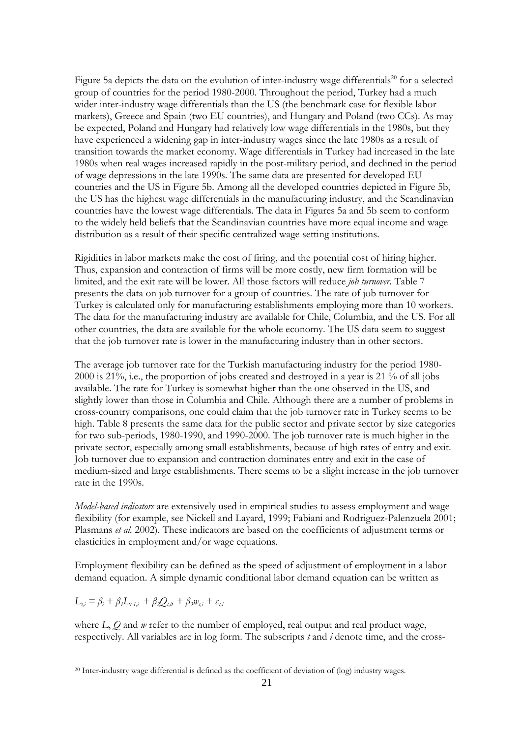Figure 5a depicts the data on the evolution of inter-industry wage differentials<sup>20</sup> for a selected group of countries for the period 1980-2000. Throughout the period, Turkey had a much wider inter-industry wage differentials than the US (the benchmark case for flexible labor markets), Greece and Spain (two EU countries), and Hungary and Poland (two CCs). As may be expected, Poland and Hungary had relatively low wage differentials in the 1980s, but they have experienced a widening gap in inter-industry wages since the late 1980s as a result of transition towards the market economy. Wage differentials in Turkey had increased in the late 1980s when real wages increased rapidly in the post-military period, and declined in the period of wage depressions in the late 1990s. The same data are presented for developed EU countries and the US in Figure 5b. Among all the developed countries depicted in Figure 5b, the US has the highest wage differentials in the manufacturing industry, and the Scandinavian countries have the lowest wage differentials. The data in Figures 5a and 5b seem to conform to the widely held beliefs that the Scandinavian countries have more equal income and wage distribution as a result of their specific centralized wage setting institutions.

Rigidities in labor markets make the cost of firing, and the potential cost of hiring higher. Thus, expansion and contraction of firms will be more costly, new firm formation will be limited, and the exit rate will be lower. All those factors will reduce *job turnover*. Table 7 presents the data on job turnover for a group of countries. The rate of job turnover for Turkey is calculated only for manufacturing establishments employing more than 10 workers. The data for the manufacturing industry are available for Chile, Columbia, and the US. For all other countries, the data are available for the whole economy. The US data seem to suggest that the job turnover rate is lower in the manufacturing industry than in other sectors.

The average job turnover rate for the Turkish manufacturing industry for the period 1980- 2000 is 21%, i.e., the proportion of jobs created and destroyed in a year is 21 % of all jobs available. The rate for Turkey is somewhat higher than the one observed in the US, and slightly lower than those in Columbia and Chile. Although there are a number of problems in cross-country comparisons, one could claim that the job turnover rate in Turkey seems to be high. Table 8 presents the same data for the public sector and private sector by size categories for two sub-periods, 1980-1990, and 1990-2000. The job turnover rate is much higher in the private sector, especially among small establishments, because of high rates of entry and exit. Job turnover due to expansion and contraction dominates entry and exit in the case of medium-sized and large establishments. There seems to be a slight increase in the job turnover rate in the 1990s.

*Model-based indicators* are extensively used in empirical studies to assess employment and wage flexibility (for example, see Nickell and Layard, 1999; Fabiani and Rodriguez-Palenzuela 2001; Plasmans *et al.* 2002). These indicators are based on the coefficients of adjustment terms or elasticities in employment and/or wage equations.

Employment flexibility can be defined as the speed of adjustment of employment in a labor demand equation. A simple dynamic conditional labor demand equation can be written as

$$
L_{t,i} = \beta_i + \beta_j L_{t,i,i} + \beta_2 Q_{t,i} + \beta_3 w_{t,i} + \varepsilon_{t,i}
$$

 $\overline{a}$ 

where *L*, *Q* and *w* refer to the number of employed, real output and real product wage, respectively. All variables are in log form. The subscripts *t* and *i* denote time, and the cross-

<sup>20</sup> Inter-industry wage differential is defined as the coefficient of deviation of (log) industry wages.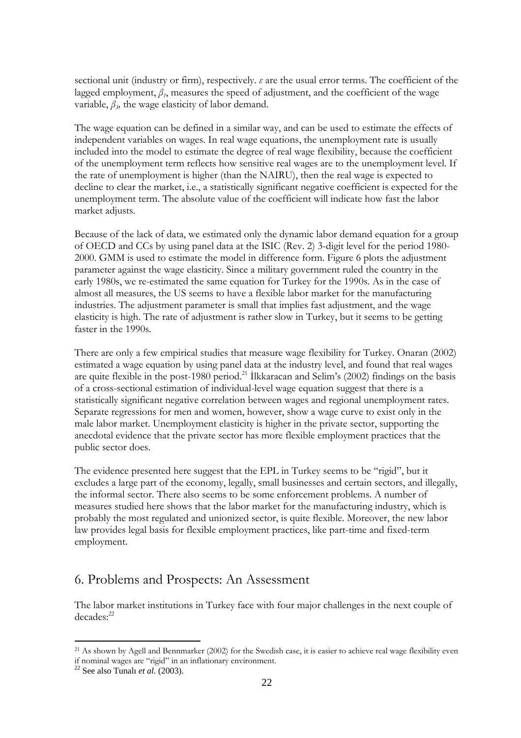sectional unit (industry or firm), respectively. *ε* are the usual error terms. The coefficient of the lagged employment,  $\beta$ <sup>*f*</sup>, measures the speed of adjustment, and the coefficient of the wage variable,  $\beta$ <sup>3</sup>, the wage elasticity of labor demand.

The wage equation can be defined in a similar way, and can be used to estimate the effects of independent variables on wages. In real wage equations, the unemployment rate is usually included into the model to estimate the degree of real wage flexibility, because the coefficient of the unemployment term reflects how sensitive real wages are to the unemployment level. If the rate of unemployment is higher (than the NAIRU), then the real wage is expected to decline to clear the market, i.e., a statistically significant negative coefficient is expected for the unemployment term. The absolute value of the coefficient will indicate how fast the labor market adjusts.

Because of the lack of data, we estimated only the dynamic labor demand equation for a group of OECD and CCs by using panel data at the ISIC (Rev. 2) 3-digit level for the period 1980- 2000. GMM is used to estimate the model in difference form. Figure 6 plots the adjustment parameter against the wage elasticity. Since a military government ruled the country in the early 1980s, we re-estimated the same equation for Turkey for the 1990s. As in the case of almost all measures, the US seems to have a flexible labor market for the manufacturing industries. The adjustment parameter is small that implies fast adjustment, and the wage elasticity is high. The rate of adjustment is rather slow in Turkey, but it seems to be getting faster in the 1990s.

There are only a few empirical studies that measure wage flexibility for Turkey. Onaran (2002) estimated a wage equation by using panel data at the industry level, and found that real wages are quite flexible in the post-1980 period.<sup>21</sup> Ilkkaracan and Selim's (2002) findings on the basis of a cross-sectional estimation of individual-level wage equation suggest that there is a statistically significant negative correlation between wages and regional unemployment rates. Separate regressions for men and women, however, show a wage curve to exist only in the male labor market. Unemployment elasticity is higher in the private sector, supporting the anecdotal evidence that the private sector has more flexible employment practices that the public sector does.

The evidence presented here suggest that the EPL in Turkey seems to be "rigid", but it excludes a large part of the economy, legally, small businesses and certain sectors, and illegally, the informal sector. There also seems to be some enforcement problems. A number of measures studied here shows that the labor market for the manufacturing industry, which is probably the most regulated and unionized sector, is quite flexible. Moreover, the new labor law provides legal basis for flexible employment practices, like part-time and fixed-term employment.

## 6. Problems and Prospects: An Assessment

The labor market institutions in Turkey face with four major challenges in the next couple of decades:<sup>22</sup>

<sup>&</sup>lt;sup>21</sup> As shown by Agell and Bennmarker (2002) for the Swedish case, it is easier to achieve real wage flexibility even if nominal wages are "rigid" in an inflationary environment. 22 See also Tunal<sup>ı</sup> *et al.* (2003).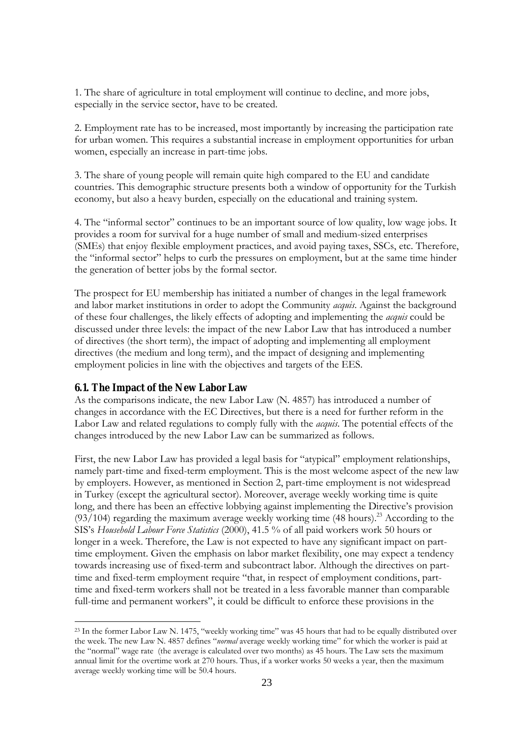1. The share of agriculture in total employment will continue to decline, and more jobs, especially in the service sector, have to be created.

2. Employment rate has to be increased, most importantly by increasing the participation rate for urban women. This requires a substantial increase in employment opportunities for urban women, especially an increase in part-time jobs.

3. The share of young people will remain quite high compared to the EU and candidate countries. This demographic structure presents both a window of opportunity for the Turkish economy, but also a heavy burden, especially on the educational and training system.

4. The "informal sector" continues to be an important source of low quality, low wage jobs. It provides a room for survival for a huge number of small and medium-sized enterprises (SMEs) that enjoy flexible employment practices, and avoid paying taxes, SSCs, etc. Therefore, the "informal sector" helps to curb the pressures on employment, but at the same time hinder the generation of better jobs by the formal sector.

The prospect for EU membership has initiated a number of changes in the legal framework and labor market institutions in order to adopt the Community *acquis*. Against the background of these four challenges, the likely effects of adopting and implementing the *acquis* could be discussed under three levels: the impact of the new Labor Law that has introduced a number of directives (the short term), the impact of adopting and implementing all employment directives (the medium and long term), and the impact of designing and implementing employment policies in line with the objectives and targets of the EES.

### **6.1. The Impact of the New Labor Law**

 $\overline{a}$ 

As the comparisons indicate, the new Labor Law (N. 4857) has introduced a number of changes in accordance with the EC Directives, but there is a need for further reform in the Labor Law and related regulations to comply fully with the *acquis*. The potential effects of the changes introduced by the new Labor Law can be summarized as follows.

First, the new Labor Law has provided a legal basis for "atypical" employment relationships, namely part-time and fixed-term employment. This is the most welcome aspect of the new law by employers. However, as mentioned in Section 2, part-time employment is not widespread in Turkey (except the agricultural sector). Moreover, average weekly working time is quite long, and there has been an effective lobbying against implementing the Directive's provision  $(93/104)$  regarding the maximum average weekly working time (48 hours).<sup>23</sup> According to the SIS's *Household Labour Force Statistics* (2000), 41.5 % of all paid workers work 50 hours or longer in a week. Therefore, the Law is not expected to have any significant impact on parttime employment. Given the emphasis on labor market flexibility, one may expect a tendency towards increasing use of fixed-term and subcontract labor. Although the directives on parttime and fixed-term employment require "that, in respect of employment conditions, parttime and fixed-term workers shall not be treated in a less favorable manner than comparable full-time and permanent workers", it could be difficult to enforce these provisions in the

<sup>&</sup>lt;sup>23</sup> In the former Labor Law N. 1475, "weekly working time" was 45 hours that had to be equally distributed over the week. The new Law N. 4857 defines "*normal* average weekly working time" for which the worker is paid at the "normal" wage rate (the average is calculated over two months) as 45 hours. The Law sets the maximum annual limit for the overtime work at 270 hours. Thus, if a worker works 50 weeks a year, then the maximum average weekly working time will be 50.4 hours.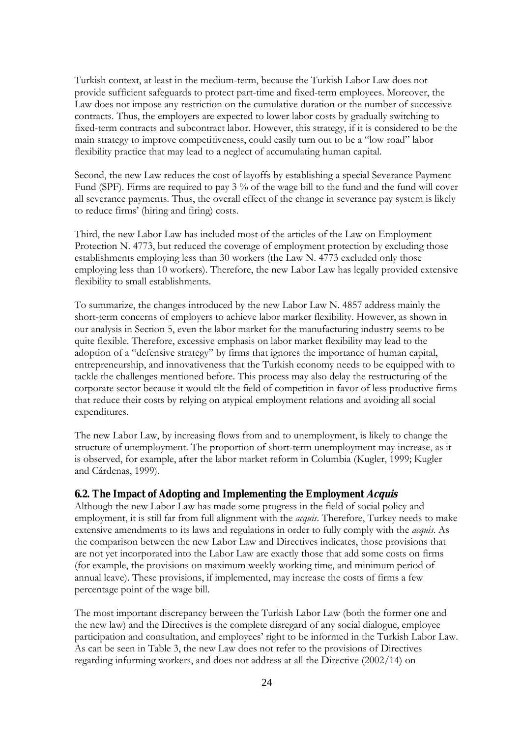Turkish context, at least in the medium-term, because the Turkish Labor Law does not provide sufficient safeguards to protect part-time and fixed-term employees. Moreover, the Law does not impose any restriction on the cumulative duration or the number of successive contracts. Thus, the employers are expected to lower labor costs by gradually switching to fixed-term contracts and subcontract labor. However, this strategy, if it is considered to be the main strategy to improve competitiveness, could easily turn out to be a "low road" labor flexibility practice that may lead to a neglect of accumulating human capital.

Second, the new Law reduces the cost of layoffs by establishing a special Severance Payment Fund (SPF). Firms are required to pay 3 % of the wage bill to the fund and the fund will cover all severance payments. Thus, the overall effect of the change in severance pay system is likely to reduce firms' (hiring and firing) costs.

Third, the new Labor Law has included most of the articles of the Law on Employment Protection N. 4773, but reduced the coverage of employment protection by excluding those establishments employing less than 30 workers (the Law N. 4773 excluded only those employing less than 10 workers). Therefore, the new Labor Law has legally provided extensive flexibility to small establishments.

To summarize, the changes introduced by the new Labor Law N. 4857 address mainly the short-term concerns of employers to achieve labor marker flexibility. However, as shown in our analysis in Section 5, even the labor market for the manufacturing industry seems to be quite flexible. Therefore, excessive emphasis on labor market flexibility may lead to the adoption of a "defensive strategy" by firms that ignores the importance of human capital, entrepreneurship, and innovativeness that the Turkish economy needs to be equipped with to tackle the challenges mentioned before. This process may also delay the restructuring of the corporate sector because it would tilt the field of competition in favor of less productive firms that reduce their costs by relying on atypical employment relations and avoiding all social expenditures.

The new Labor Law, by increasing flows from and to unemployment, is likely to change the structure of unemployment. The proportion of short-term unemployment may increase, as it is observed, for example, after the labor market reform in Columbia (Kugler, 1999; Kugler and Cárdenas, 1999).

### **6.2. The Impact of Adopting and Implementing the Employment Acquis**

Although the new Labor Law has made some progress in the field of social policy and employment, it is still far from full alignment with the *acquis*. Therefore, Turkey needs to make extensive amendments to its laws and regulations in order to fully comply with the *acquis*. As the comparison between the new Labor Law and Directives indicates, those provisions that are not yet incorporated into the Labor Law are exactly those that add some costs on firms (for example, the provisions on maximum weekly working time, and minimum period of annual leave). These provisions, if implemented, may increase the costs of firms a few percentage point of the wage bill.

The most important discrepancy between the Turkish Labor Law (both the former one and the new law) and the Directives is the complete disregard of any social dialogue, employee participation and consultation, and employees' right to be informed in the Turkish Labor Law. As can be seen in Table 3, the new Law does not refer to the provisions of Directives regarding informing workers, and does not address at all the Directive (2002/14) on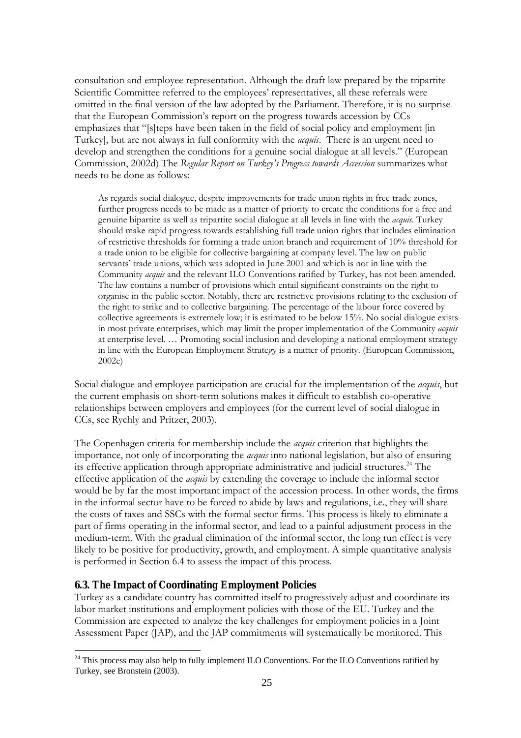consultation and employee representation. Although the draft law prepared by the tripartite Scientific Committee referred to the employees' representatives, all these referrals were omitted in the final version of the law adopted by the Parliament. Therefore, it is no surprise that the European Commission's report on the progress towards accession by CCs emphasizes that "[s]teps have been taken in the field of social policy and employment [in Turkey], but are not always in full conformity with the *acquis*. There is an urgent need to develop and strengthen the conditions for a genuine social dialogue at all levels." (European Commission, 2002d) The *Regular Report on Turkey's Progress towards Accession* summarizes what needs to be done as follows:

As regards social dialogue, despite improvements for trade union rights in free trade zones, further progress needs to be made as a matter of priority to create the conditions for a free and genuine bipartite as well as tripartite social dialogue at all levels in line with the *acquis*. Turkey should make rapid progress towards establishing full trade union rights that includes elimination of restrictive thresholds for forming a trade union branch and requirement of 10% threshold for a trade union to be eligible for collective bargaining at company level. The law on public servants' trade unions, which was adopted in June 2001 and which is not in line with the Community *acquis* and the relevant ILO Conventions ratified by Turkey, has not been amended. The law contains a number of provisions which entail significant constraints on the right to organise in the public sector. Notably, there are restrictive provisions relating to the exclusion of the right to strike and to collective bargaining. The percentage of the labour force covered by collective agreements is extremely low; it is estimated to be below 15%. No social dialogue exists in most private enterprises, which may limit the proper implementation of the Community *acquis* at enterprise level. … Promoting social inclusion and developing a national employment strategy in line with the European Employment Strategy is a matter of priority. (European Commission, 2002e)

Social dialogue and employee participation are crucial for the implementation of the *acquis*, but the current emphasis on short-term solutions makes it difficult to establish co-operative relationships between employers and employees (for the current level of social dialogue in CCs, see Rychly and Pritzer, 2003).

The Copenhagen criteria for membership include the *acquis* criterion that highlights the importance, not only of incorporating the *acquis* into national legislation, but also of ensuring its effective application through appropriate administrative and judicial structures.<sup>24</sup> The effective application of the *acquis* by extending the coverage to include the informal sector would be by far the most important impact of the accession process. In other words, the firms in the informal sector have to be forced to abide by laws and regulations, i.e., they will share the costs of taxes and SSCs with the formal sector firms. This process is likely to eliminate a part of firms operating in the informal sector, and lead to a painful adjustment process in the medium-term. With the gradual elimination of the informal sector, the long run effect is very likely to be positive for productivity, growth, and employment. A simple quantitative analysis is performed in Section 6.4 to assess the impact of this process.

### **6.3. The Impact of Coordinating Employment Policies**

 $\overline{a}$ 

Turkey as a candidate country has committed itself to progressively adjust and coordinate its labor market institutions and employment policies with those of the EU. Turkey and the Commission are expected to analyze the key challenges for employment policies in a Joint Assessment Paper (JAP), and the JAP commitments will systematically be monitored. This

 $^{24}$  This process may also help to fully implement ILO Conventions. For the ILO Conventions ratified by Turkey, see Bronstein (2003).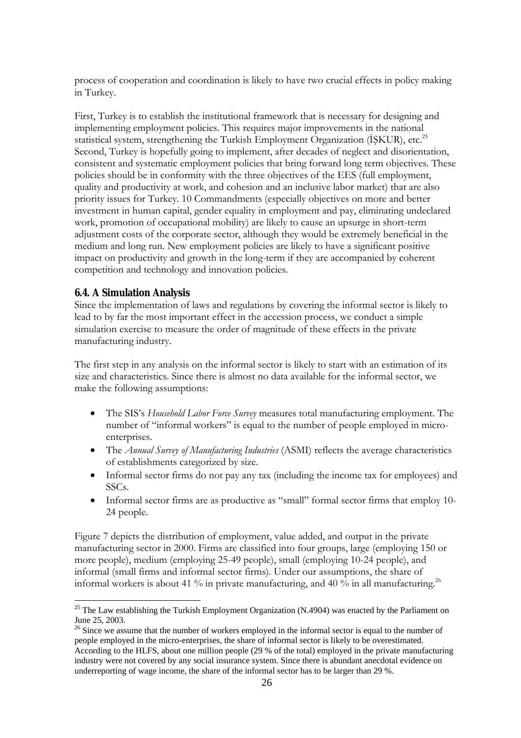process of cooperation and coordination is likely to have two crucial effects in policy making in Turkey.

First, Turkey is to establish the institutional framework that is necessary for designing and implementing employment policies. This requires major improvements in the national statistical system, strengthening the Turkish Employment Organization (ISKUR), etc.<sup>25</sup> Second, Turkey is hopefully going to implement, after decades of neglect and disorientation, consistent and systematic employment policies that bring forward long term objectives. These policies should be in conformity with the three objectives of the EES (full employment, quality and productivity at work, and cohesion and an inclusive labor market) that are also priority issues for Turkey. 10 Commandments (especially objectives on more and better investment in human capital, gender equality in employment and pay, eliminating undeclared work, promotion of occupational mobility) are likely to cause an upsurge in short-term adjustment costs of the corporate sector, although they would be extremely beneficial in the medium and long run. New employment policies are likely to have a significant positive impact on productivity and growth in the long-term if they are accompanied by coherent competition and technology and innovation policies.

### **6.4. A Simulation Analysis**

 $\overline{a}$ 

Since the implementation of laws and regulations by covering the informal sector is likely to lead to by far the most important effect in the accession process, we conduct a simple simulation exercise to measure the order of magnitude of these effects in the private manufacturing industry.

The first step in any analysis on the informal sector is likely to start with an estimation of its size and characteristics. Since there is almost no data available for the informal sector, we make the following assumptions:

- The SIS's *Household Labor Force Survey* measures total manufacturing employment. The number of "informal workers" is equal to the number of people employed in microenterprises.
- The *Annual Survey of Manufacturing Industries* (ASMI) reflects the average characteristics of establishments categorized by size.
- Informal sector firms do not pay any tax (including the income tax for employees) and SSCs.
- Informal sector firms are as productive as "small" formal sector firms that employ 10- 24 people.

Figure 7 depicts the distribution of employment, value added, and output in the private manufacturing sector in 2000. Firms are classified into four groups, large (employing 150 or more people), medium (employing 25-49 people), small (employing 10-24 people), and informal (small firms and informal sector firms). Under our assumptions, the share of informal workers is about 41 % in private manufacturing, and 40 % in all manufacturing.<sup>26</sup>

 $25$  The Law establishing the Turkish Employment Organization (N.4904) was enacted by the Parliament on June 25, 2003.

 $26$  Since we assume that the number of workers employed in the informal sector is equal to the number of people employed in the micro-enterprises, the share of informal sector is likely to be overestimated. According to the HLFS, about one million people (29 % of the total) employed in the private manufacturing industry were not covered by any social insurance system. Since there is abundant anecdotal evidence on underreporting of wage income, the share of the informal sector has to be larger than 29 %.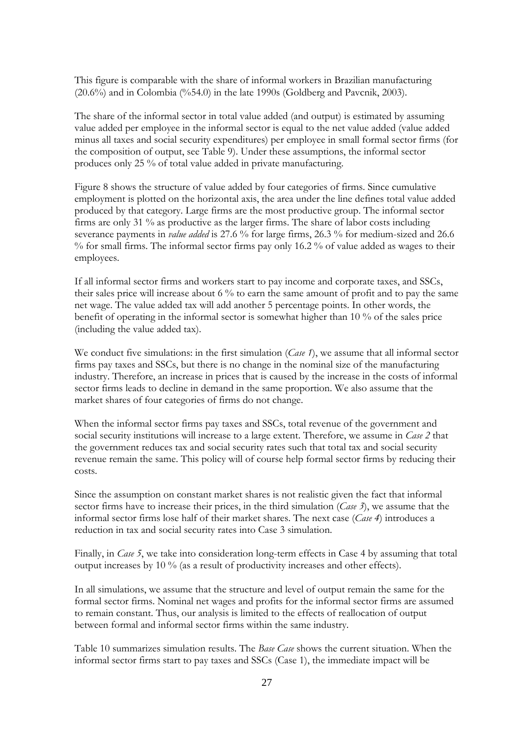This figure is comparable with the share of informal workers in Brazilian manufacturing (20.6%) and in Colombia (%54.0) in the late 1990s (Goldberg and Pavcnik, 2003).

The share of the informal sector in total value added (and output) is estimated by assuming value added per employee in the informal sector is equal to the net value added (value added minus all taxes and social security expenditures) per employee in small formal sector firms (for the composition of output, see Table 9). Under these assumptions, the informal sector produces only 25 % of total value added in private manufacturing.

Figure 8 shows the structure of value added by four categories of firms. Since cumulative employment is plotted on the horizontal axis, the area under the line defines total value added produced by that category. Large firms are the most productive group. The informal sector firms are only 31 % as productive as the larger firms. The share of labor costs including severance payments in *value added* is 27.6 % for large firms, 26.3 % for medium-sized and 26.6  $\%$  for small firms. The informal sector firms pay only 16.2  $\%$  of value added as wages to their employees.

If all informal sector firms and workers start to pay income and corporate taxes, and SSCs, their sales price will increase about 6 % to earn the same amount of profit and to pay the same net wage. The value added tax will add another 5 percentage points. In other words, the benefit of operating in the informal sector is somewhat higher than 10 % of the sales price (including the value added tax).

We conduct five simulations: in the first simulation (*Case 1*), we assume that all informal sector firms pay taxes and SSCs, but there is no change in the nominal size of the manufacturing industry. Therefore, an increase in prices that is caused by the increase in the costs of informal sector firms leads to decline in demand in the same proportion. We also assume that the market shares of four categories of firms do not change.

When the informal sector firms pay taxes and SSCs, total revenue of the government and social security institutions will increase to a large extent. Therefore, we assume in *Case 2* that the government reduces tax and social security rates such that total tax and social security revenue remain the same. This policy will of course help formal sector firms by reducing their costs.

Since the assumption on constant market shares is not realistic given the fact that informal sector firms have to increase their prices, in the third simulation (*Case 3*), we assume that the informal sector firms lose half of their market shares. The next case (*Case 4*) introduces a reduction in tax and social security rates into Case 3 simulation.

Finally, in *Case 5*, we take into consideration long-term effects in Case 4 by assuming that total output increases by 10 % (as a result of productivity increases and other effects).

In all simulations, we assume that the structure and level of output remain the same for the formal sector firms. Nominal net wages and profits for the informal sector firms are assumed to remain constant. Thus, our analysis is limited to the effects of reallocation of output between formal and informal sector firms within the same industry.

Table 10 summarizes simulation results. The *Base Case* shows the current situation. When the informal sector firms start to pay taxes and SSCs (Case 1), the immediate impact will be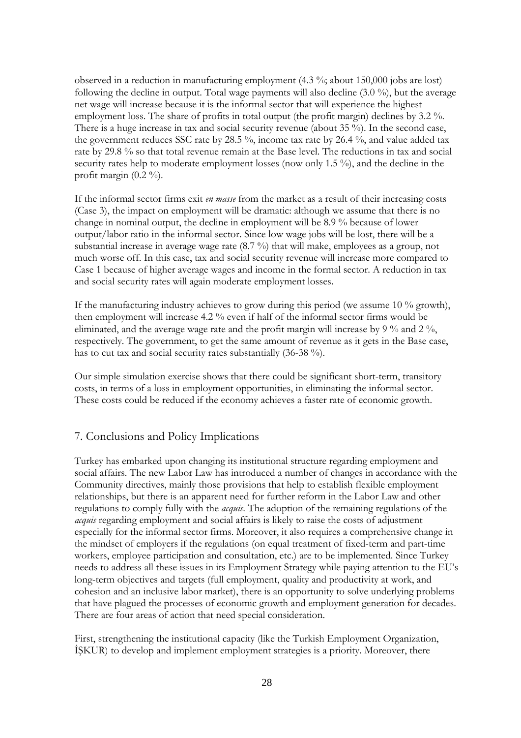observed in a reduction in manufacturing employment (4.3 %; about 150,000 jobs are lost) following the decline in output. Total wage payments will also decline (3.0 %), but the average net wage will increase because it is the informal sector that will experience the highest employment loss. The share of profits in total output (the profit margin) declines by 3.2 %. There is a huge increase in tax and social security revenue (about 35 %). In the second case, the government reduces SSC rate by 28.5 %, income tax rate by 26.4 %, and value added tax rate by 29.8 % so that total revenue remain at the Base level. The reductions in tax and social security rates help to moderate employment losses (now only 1.5 %), and the decline in the profit margin  $(0.2 \%)$ .

If the informal sector firms exit *en masse* from the market as a result of their increasing costs (Case 3), the impact on employment will be dramatic: although we assume that there is no change in nominal output, the decline in employment will be 8.9 % because of lower output/labor ratio in the informal sector. Since low wage jobs will be lost, there will be a substantial increase in average wage rate (8.7 %) that will make, employees as a group, not much worse off. In this case, tax and social security revenue will increase more compared to Case 1 because of higher average wages and income in the formal sector. A reduction in tax and social security rates will again moderate employment losses.

If the manufacturing industry achieves to grow during this period (we assume 10 % growth), then employment will increase 4.2 % even if half of the informal sector firms would be eliminated, and the average wage rate and the profit margin will increase by 9  $\%$  and 2  $\%$ , respectively. The government, to get the same amount of revenue as it gets in the Base case, has to cut tax and social security rates substantially (36-38 %).

Our simple simulation exercise shows that there could be significant short-term, transitory costs, in terms of a loss in employment opportunities, in eliminating the informal sector. These costs could be reduced if the economy achieves a faster rate of economic growth.

### 7. Conclusions and Policy Implications

Turkey has embarked upon changing its institutional structure regarding employment and social affairs. The new Labor Law has introduced a number of changes in accordance with the Community directives, mainly those provisions that help to establish flexible employment relationships, but there is an apparent need for further reform in the Labor Law and other regulations to comply fully with the *acquis*. The adoption of the remaining regulations of the *acquis* regarding employment and social affairs is likely to raise the costs of adjustment especially for the informal sector firms. Moreover, it also requires a comprehensive change in the mindset of employers if the regulations (on equal treatment of fixed-term and part-time workers, employee participation and consultation, etc.) are to be implemented. Since Turkey needs to address all these issues in its Employment Strategy while paying attention to the EU's long-term objectives and targets (full employment, quality and productivity at work, and cohesion and an inclusive labor market), there is an opportunity to solve underlying problems that have plagued the processes of economic growth and employment generation for decades. There are four areas of action that need special consideration.

First, strengthening the institutional capacity (like the Turkish Employment Organization, İŞKUR) to develop and implement employment strategies is a priority. Moreover, there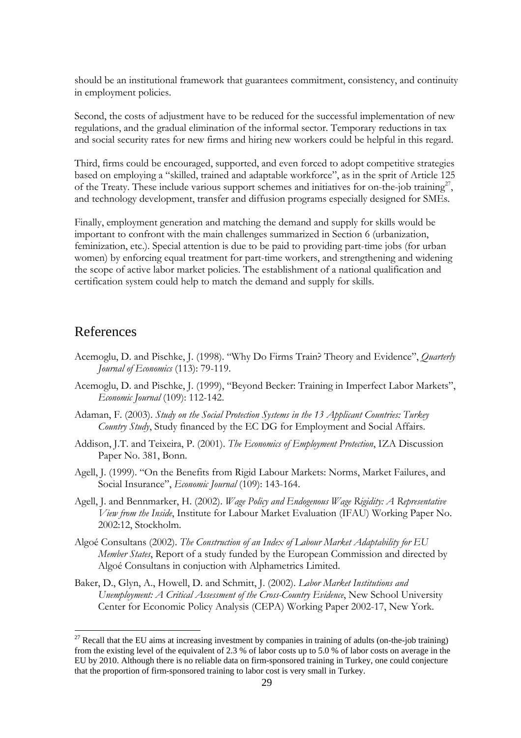should be an institutional framework that guarantees commitment, consistency, and continuity in employment policies.

Second, the costs of adjustment have to be reduced for the successful implementation of new regulations, and the gradual elimination of the informal sector. Temporary reductions in tax and social security rates for new firms and hiring new workers could be helpful in this regard.

Third, firms could be encouraged, supported, and even forced to adopt competitive strategies based on employing a "skilled, trained and adaptable workforce", as in the sprit of Article 125 of the Treaty. These include various support schemes and initiatives for on-the-job training<sup>27</sup>, and technology development, transfer and diffusion programs especially designed for SMEs.

Finally, employment generation and matching the demand and supply for skills would be important to confront with the main challenges summarized in Section 6 (urbanization, feminization, etc.). Special attention is due to be paid to providing part-time jobs (for urban women) by enforcing equal treatment for part-time workers, and strengthening and widening the scope of active labor market policies. The establishment of a national qualification and certification system could help to match the demand and supply for skills.

### References

- Acemoglu, D. and Pischke, J. (1998). "Why Do Firms Train? Theory and Evidence", *Quarterly Journal of Economics* (113): 79-119.
- Acemoglu, D. and Pischke, J. (1999), "Beyond Becker: Training in Imperfect Labor Markets", *Economic Journal* (109): 112-142.
- Adaman, F. (2003). *Study on the Social Protection Systems in the 13 Applicant Countries: Turkey Country Study*, Study financed by the EC DG for Employment and Social Affairs.
- Addison, J.T. and Teixeira, P. (2001). *The Economics of Employment Protection*, IZA Discussion Paper No. 381, Bonn.
- Agell, J. (1999). "On the Benefits from Rigid Labour Markets: Norms, Market Failures, and Social Insurance", *Economic Journal* (109): 143-164.
- Agell, J. and Bennmarker, H. (2002). *Wage Policy and Endogenous Wage Rigidity: A Representative View from the Inside*, Institute for Labour Market Evaluation (IFAU) Working Paper No. 2002:12, Stockholm.
- Algoé Consultans (2002). *The Construction of an Index of Labour Market Adaptability for EU Member States*, Report of a study funded by the European Commission and directed by Algoé Consultans in conjuction with Alphametrics Limited.
- Baker, D., Glyn, A., Howell, D. and Schmitt, J. (2002). *Labor Market Institutions and Unemployment: A Critical Assessment of the Cross-Country Evidence*, New School University Center for Economic Policy Analysis (CEPA) Working Paper 2002-17, New York.

 $27$  Recall that the EU aims at increasing investment by companies in training of adults (on-the-job training) from the existing level of the equivalent of 2.3 % of labor costs up to 5.0 % of labor costs on average in the EU by 2010. Although there is no reliable data on firm-sponsored training in Turkey, one could conjecture that the proportion of firm-sponsored training to labor cost is very small in Turkey.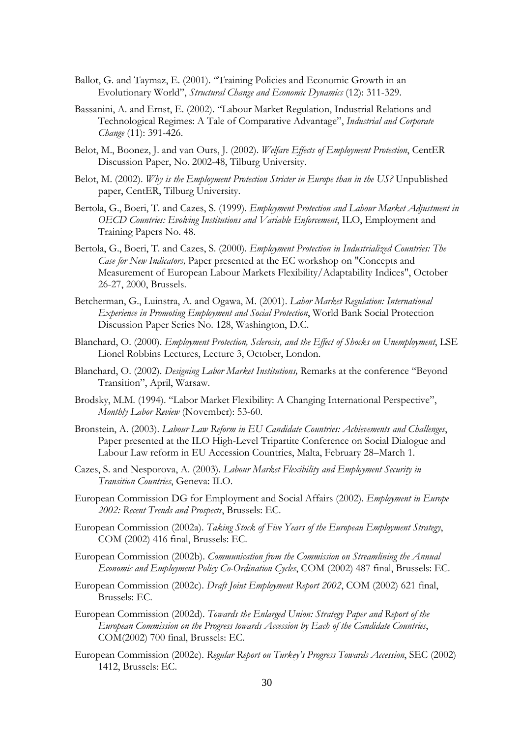- Ballot, G. and Taymaz, E. (2001). "Training Policies and Economic Growth in an Evolutionary World", *Structural Change and Economic Dynamics* (12): 311-329.
- Bassanini, A. and Ernst, E. (2002). "Labour Market Regulation, Industrial Relations and Technological Regimes: A Tale of Comparative Advantage", *Industrial and Corporate Change* (11): 391-426.
- Belot, M., Boonez, J. and van Ours, J. (2002). *Welfare Effects of Employment Protection*, CentER Discussion Paper, No. 2002-48, Tilburg University.
- Belot, M. (2002). *Why is the Employment Protection Stricter in Europe than in the US?* Unpublished paper, CentER, Tilburg University.
- Bertola, G., Boeri, T. and Cazes, S. (1999). *Employment Protection and Labour Market Adjustment in OECD Countries: Evolving Institutions and Variable Enforcement*, ILO, Employment and Training Papers No. 48.
- Bertola, G., Boeri, T. and Cazes, S. (2000). *Employment Protection in Industrialized Countries: The Case for New Indicators,* Paper presented at the EC workshop on "Concepts and Measurement of European Labour Markets Flexibility/Adaptability Indices", October 26-27, 2000, Brussels.
- Betcherman, G., Luinstra, A. and Ogawa, M. (2001). *Labor Market Regulation: International Experience in Promoting Employment and Social Protection*, World Bank Social Protection Discussion Paper Series No. 128, Washington, D.C.
- Blanchard, O. (2000). *Employment Protection, Sclerosis, and the Effect of Shocks on Unemployment*, LSE Lionel Robbins Lectures, Lecture 3, October, London.
- Blanchard, O. (2002). *Designing Labor Market Institutions,* Remarks at the conference "Beyond Transition", April, Warsaw.
- Brodsky, M.M. (1994). "Labor Market Flexibility: A Changing International Perspective", *Monthly Labor Review* (November): 53-60.
- Bronstein, A. (2003). *Labour Law Reform in EU Candidate Countries: Achievements and Challenges*, Paper presented at the ILO High-Level Tripartite Conference on Social Dialogue and Labour Law reform in EU Accession Countries, Malta, February 28–March 1.
- Cazes, S. and Nesporova, A. (2003). *Labour Market Flexibility and Employment Security in Transition Countries*, Geneva: ILO.
- European Commission DG for Employment and Social Affairs (2002). *Employment in Europe 2002: Recent Trends and Prospects*, Brussels: EC.
- European Commission (2002a). *Taking Stock of Five Years of the European Employment Strategy*, COM (2002) 416 final, Brussels: EC.
- European Commission (2002b). *Communication from the Commission on Streamlining the Annual Economic and Employment Policy Co-Ordination Cycles*, COM (2002) 487 final, Brussels: EC.
- European Commission (2002c). *Draft Joint Employment Report 2002*, COM (2002) 621 final, Brussels: EC.
- European Commission (2002d). *Towards the Enlarged Union: Strategy Paper and Report of the European Commission on the Progress towards Accession by Each of the Candidate Countries*, COM(2002) 700 final, Brussels: EC.
- European Commission (2002e). *Regular Report on Turkey's Progress Towards Accession*, SEC (2002) 1412, Brussels: EC.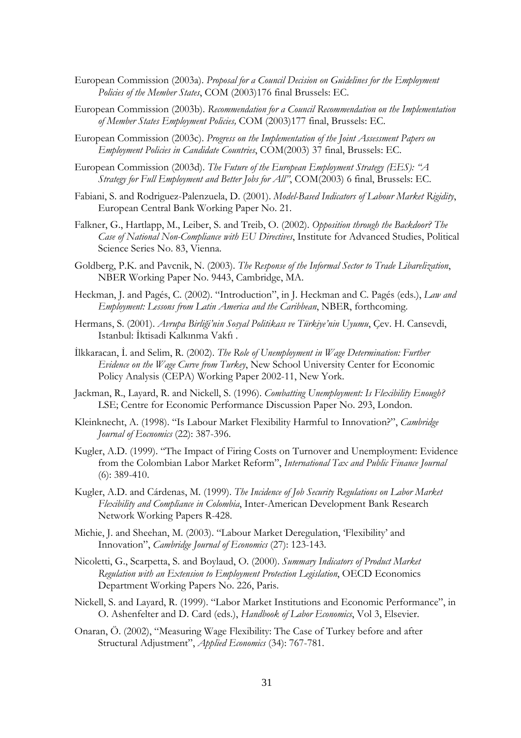- European Commission (2003a). *Proposal for a Council Decision on Guidelines for the Employment Policies of the Member States*, COM (2003)176 final Brussels: EC.
- European Commission (2003b). *Recommendation for a Council Recommendation on the Implementation of Member States Employment Policies,* COM (2003)177 final, Brussels: EC.
- European Commission (2003c). *Progress on the Implementation of the Joint Assessment Papers on Employment Policies in Candidate Countries*, COM(2003) 37 final, Brussels: EC.
- European Commission (2003d). *The Future of the European Employment Strategy (EES): "A Strategy for Full Employment and Better Jobs for All"*, COM(2003) 6 final, Brussels: EC.
- Fabiani, S. and Rodriguez-Palenzuela, D. (2001). *Model-Based Indicators of Labour Market Rigidity*, European Central Bank Working Paper No. 21.
- Falkner, G., Hartlapp, M., Leiber, S. and Treib, O. (2002). *Opposition through the Backdoor? The Case of National Non-Compliance with EU Directives*, Institute for Advanced Studies, Political Science Series No. 83, Vienna.
- Goldberg, P.K. and Pavcnik, N. (2003). *The Response of the Informal Sector to Trade Libarelization*, NBER Working Paper No. 9443, Cambridge, MA.
- Heckman, J. and Pagés, C. (2002). "Introduction", in J. Heckman and C. Pagés (eds.), *Law and Employment: Lessons from Latin America and the Caribbean*, NBER, forthcoming.
- Hermans, S. (2001). *Avrupa Birliği'nin Sosyal Politikası ve Türkiye'nin Uyumu*, Çev. H. Cansevdi, Istanbul: İktisadi Kalkınma Vakfı .
- İlkkaracan, İ. and Selim, R. (2002). *The Role of Unemployment in Wage Determination: Further Evidence on the Wage Curve from Turkey*, New School University Center for Economic Policy Analysis (CEPA) Working Paper 2002-11, New York.
- Jackman, R., Layard, R. and Nickell, S. (1996). *Combatting Unemployment: Is Flexibility Enough?* LSE; Centre for Economic Performance Discussion Paper No. 293, London.
- Kleinknecht, A. (1998). "Is Labour Market Flexibility Harmful to Innovation?", *Cambridge Journal of Eocnomics* (22): 387-396.
- Kugler, A.D. (1999). "The Impact of Firing Costs on Turnover and Unemployment: Evidence from the Colombian Labor Market Reform", *International Tax and Public Finance Journal* (6): 389-410.
- Kugler, A.D. and Cárdenas, M. (1999). *The Incidence of Job Security Regulations on Labor Market Flexibility and Compliance in Colombia*, Inter-American Development Bank Research Network Working Papers R-428.
- Michie, J. and Sheehan, M. (2003). "Labour Market Deregulation, 'Flexibility' and Innovation", *Cambridge Journal of Economics* (27): 123-143.
- Nicoletti, G., Scarpetta, S. and Boylaud, O. (2000). *Summary Indicators of Product Market Regulation with an Extension to Employment Protection Legislation*, OECD Economics Department Working Papers No. 226, Paris.
- Nickell, S. and Layard, R. (1999). "Labor Market Institutions and Economic Performance", in O. Ashenfelter and D. Card (eds.), *Handbook of Labor Economics*, Vol 3, Elsevier.
- Onaran, Ö. (2002), "Measuring Wage Flexibility: The Case of Turkey before and after Structural Adjustment", *Applied Economics* (34): 767-781.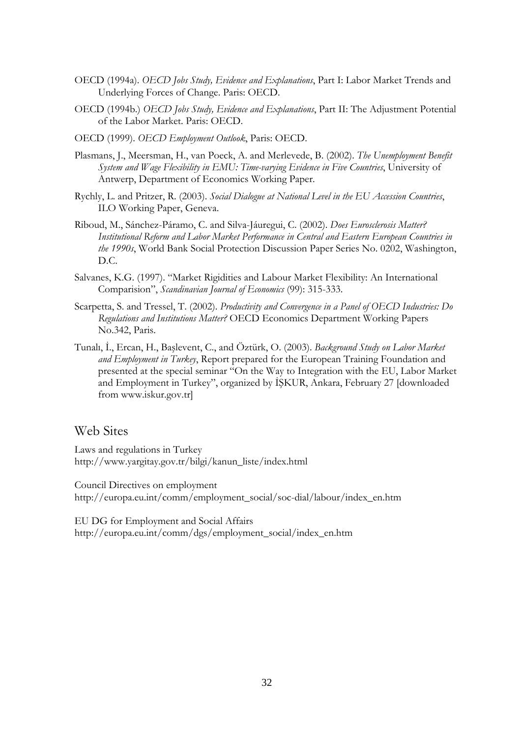- OECD (1994a). *OECD Jobs Study, Evidence and Explanations*, Part I: Labor Market Trends and Underlying Forces of Change. Paris: OECD.
- OECD (1994b.) *OECD Jobs Study, Evidence and Explanations*, Part II: The Adjustment Potential of the Labor Market. Paris: OECD.
- OECD (1999). *OECD Employment Outlook*, Paris: OECD.
- Plasmans, J., Meersman, H., van Poeck, A. and Merlevede, B. (2002). *The Unemployment Benefit System and Wage Flexibility in EMU: Time-varying Evidence in Five Countries*, University of Antwerp, Department of Economics Working Paper.
- Rychly, L. and Pritzer, R. (2003). *Social Dialogue at National Level in the EU Accession Countries*, ILO Working Paper, Geneva.
- Riboud, M., Sánchez-Páramo, C. and Silva-Jáuregui, C. (2002). *Does Eurosclerosis Matter? Institutional Reform and Labor Market Performance in Central and Eastern European Countries in the 1990s*, World Bank Social Protection Discussion Paper Series No. 0202, Washington, D.C.
- Salvanes, K.G. (1997). "Market Rigidities and Labour Market Flexibility: An International Comparision", *Scandinavian Journal of Economics* (99): 315-333.
- Scarpetta, S. and Tressel, T. (2002). *Productivity and Convergence in a Panel of OECD Industries: Do Regulations and Institutions Matter?* OECD Economics Department Working Papers No.342, Paris.
- Tunalı, İ., Ercan, H., Başlevent, C., and Öztürk, O. (2003). *Background Study on Labor Market and Employment in Turkey*, Report prepared for the European Training Foundation and presented at the special seminar "On the Way to Integration with the EU, Labor Market and Employment in Turkey", organized by İŞKUR, Ankara, February 27 [downloaded from www.iskur.gov.tr]

### Web Sites

Laws and regulations in Turkey http://www.yargitay.gov.tr/bilgi/kanun\_liste/index.html

Council Directives on employment http://europa.eu.int/comm/employment\_social/soc-dial/labour/index\_en.htm

EU DG for Employment and Social Affairs http://europa.eu.int/comm/dgs/employment\_social/index\_en.htm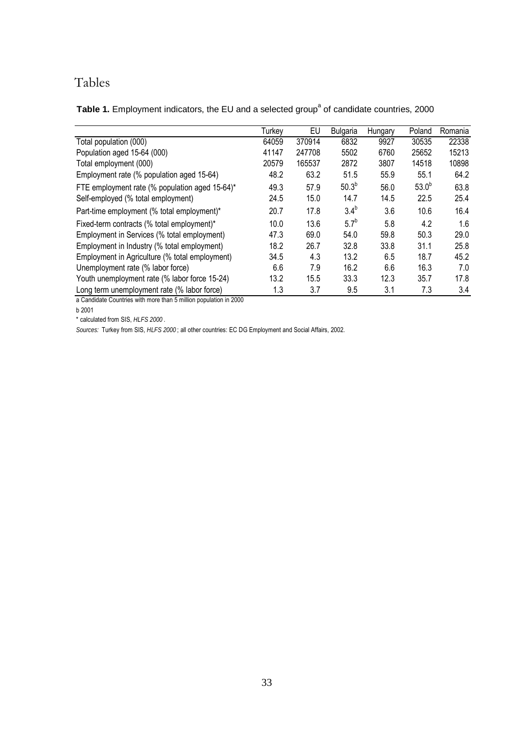# Tables

Table 1. Employment indicators, the EU and a selected group<sup>a</sup> of candidate countries, 2000

|                                                                   | Turkey | EU     | <b>Bulgaria</b>  | Hungary | Poland     | Romania |
|-------------------------------------------------------------------|--------|--------|------------------|---------|------------|---------|
| Total population (000)                                            | 64059  | 370914 | 6832             | 9927    | 30535      | 22338   |
| Population aged 15-64 (000)                                       | 41147  | 247708 | 5502             | 6760    | 25652      | 15213   |
| Total employment (000)                                            | 20579  | 165537 | 2872             | 3807    | 14518      | 10898   |
| Employment rate (% population aged 15-64)                         | 48.2   | 63.2   | 51.5             | 55.9    | 55.1       | 64.2    |
| FTE employment rate (% population aged 15-64)*                    | 49.3   | 57.9   | $50.3^{b}$       | 56.0    | $53.0^{b}$ | 63.8    |
| Self-employed (% total employment)                                | 24.5   | 15.0   | 14.7             | 14.5    | 22.5       | 25.4    |
| Part-time employment (% total employment)*                        | 20.7   | 17.8   | 3.4 <sup>b</sup> | 3.6     | 10.6       | 16.4    |
| Fixed-term contracts (% total employment)*                        | 10.0   | 13.6   | $5.7^{b}$        | 5.8     | 4.2        | 1.6     |
| Employment in Services (% total employment)                       | 47.3   | 69.0   | 54.0             | 59.8    | 50.3       | 29.0    |
| Employment in Industry (% total employment)                       | 18.2   | 26.7   | 32.8             | 33.8    | 31.1       | 25.8    |
| Employment in Agriculture (% total employment)                    | 34.5   | 4.3    | 13.2             | 6.5     | 18.7       | 45.2    |
| Unemployment rate (% labor force)                                 | 6.6    | 7.9    | 16.2             | 6.6     | 16.3       | 7.0     |
| Youth unemployment rate (% labor force 15-24)                     | 13.2   | 15.5   | 33.3             | 12.3    | 35.7       | 17.8    |
| Long term unemployment rate (% labor force)                       | 1.3    | 3.7    | 9.5              | 3.1     | 7.3        | 3.4     |
| a Candidate Countries with more than 5 million population in 2000 |        |        |                  |         |            |         |

a Candidate Countries with more than 5 million population in 2000

b 2001

\* calculated from SIS, *HLFS 2000* .

*Sources:* Turkey from SIS, *HLFS 2000* ; all other countries: EC DG Employment and Social Affairs, 2002.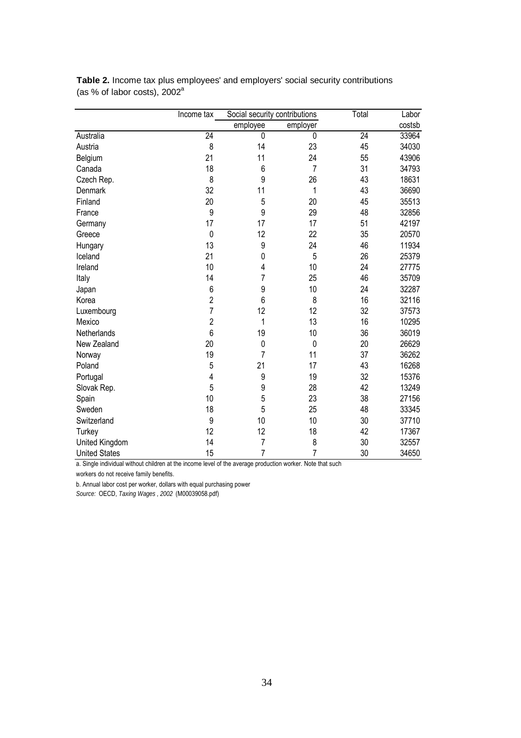|                      | Income tax      | Social security contributions |                | Total           | Labor  |
|----------------------|-----------------|-------------------------------|----------------|-----------------|--------|
|                      |                 | employee                      | employer       |                 | costsb |
| Australia            | $\overline{24}$ | $\overline{0}$                | $\overline{0}$ | $\overline{24}$ | 33964  |
| Austria              | 8               | 14                            | 23             | 45              | 34030  |
| Belgium              | 21              | 11                            | 24             | 55              | 43906  |
| Canada               | 18              | 6                             | $\overline{7}$ | 31              | 34793  |
| Czech Rep.           | 8               | 9                             | 26             | 43              | 18631  |
| Denmark              | 32              | 11                            | 1              | 43              | 36690  |
| Finland              | 20              | 5                             | 20             | 45              | 35513  |
| France               | 9               | 9                             | 29             | 48              | 32856  |
| Germany              | 17              | 17                            | 17             | 51              | 42197  |
| Greece               | 0               | 12                            | 22             | 35              | 20570  |
| Hungary              | 13              | 9                             | 24             | 46              | 11934  |
| Iceland              | 21              | $\mathbf{0}$                  | 5              | 26              | 25379  |
| Ireland              | 10              | 4                             | 10             | 24              | 27775  |
| Italy                | 14              | 7                             | 25             | 46              | 35709  |
| Japan                | 6               | 9                             | 10             | 24              | 32287  |
| Korea                | $\overline{c}$  | 6                             | 8              | 16              | 32116  |
| Luxembourg           | 7               | 12                            | 12             | 32              | 37573  |
| Mexico               | $\overline{2}$  | 1                             | 13             | 16              | 10295  |
| Netherlands          | 6               | 19                            | 10             | 36              | 36019  |
| New Zealand          | 20              | $\mathbf{0}$                  | $\mathbf 0$    | 20              | 26629  |
| Norway               | 19              | 7                             | 11             | 37              | 36262  |
| Poland               | 5               | 21                            | 17             | 43              | 16268  |
| Portugal             | 4               | 9                             | 19             | 32              | 15376  |
| Slovak Rep.          | 5               | 9                             | 28             | 42              | 13249  |
| Spain                | 10              | 5                             | 23             | 38              | 27156  |
| Sweden               | 18              | 5                             | 25             | 48              | 33345  |
| Switzerland          | 9               | 10                            | 10             | 30              | 37710  |
| Turkey               | 12              | 12                            | 18             | 42              | 17367  |
| United Kingdom       | 14              | 7                             | 8              | 30              | 32557  |
| <b>United States</b> | 15              | 7                             | $\overline{7}$ | 30              | 34650  |

**Table 2.** Income tax plus employees' and employers' social security contributions (as % of labor costs), 2002<sup>a</sup>

a. Single individual without children at the income level of the average production worker. Note that such

workers do not receive family benefits.

b. Annual labor cost per worker, dollars with equal purchasing power

*Source:* OECD, *Taxing Wages* , *2002* (M00039058.pdf)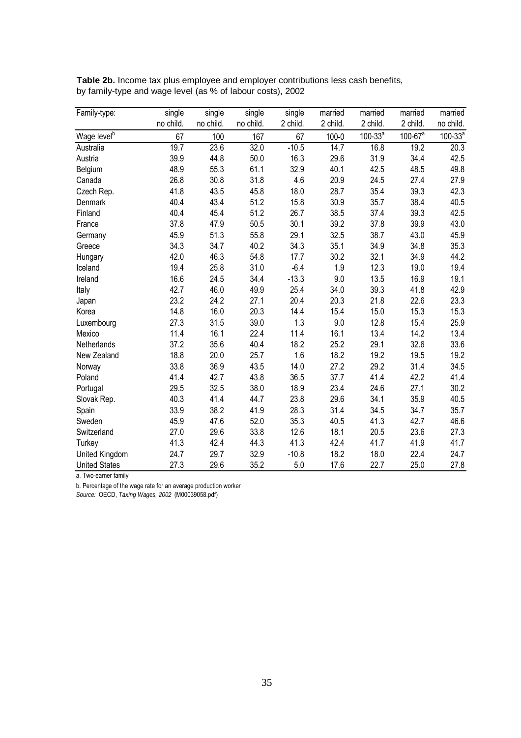| Family-type:            | single    | single    | single    | single   | married   | married      | married                 | married      |
|-------------------------|-----------|-----------|-----------|----------|-----------|--------------|-------------------------|--------------|
|                         | no child. | no child. | no child. | 2 child. | 2 child.  | 2 child.     | 2 child.                | no child.    |
| Wage level <sup>b</sup> | 67        | 100       | 167       | 67       | $100 - 0$ | $100 - 33^a$ | $100 - 67$ <sup>a</sup> | $100 - 33^a$ |
| Australia               | 19.7      | 23.6      | 32.0      | $-10.5$  | 14.7      | 16.8         | 19.2                    | 20.3         |
| Austria                 | 39.9      | 44.8      | 50.0      | 16.3     | 29.6      | 31.9         | 34.4                    | 42.5         |
| Belgium                 | 48.9      | 55.3      | 61.1      | 32.9     | 40.1      | 42.5         | 48.5                    | 49.8         |
| Canada                  | 26.8      | 30.8      | 31.8      | 4.6      | 20.9      | 24.5         | 27.4                    | 27.9         |
| Czech Rep.              | 41.8      | 43.5      | 45.8      | 18.0     | 28.7      | 35.4         | 39.3                    | 42.3         |
| Denmark                 | 40.4      | 43.4      | 51.2      | 15.8     | 30.9      | 35.7         | 38.4                    | 40.5         |
| Finland                 | 40.4      | 45.4      | 51.2      | 26.7     | 38.5      | 37.4         | 39.3                    | 42.5         |
| France                  | 37.8      | 47.9      | 50.5      | 30.1     | 39.2      | 37.8         | 39.9                    | 43.0         |
| Germany                 | 45.9      | 51.3      | 55.8      | 29.1     | 32.5      | 38.7         | 43.0                    | 45.9         |
| Greece                  | 34.3      | 34.7      | 40.2      | 34.3     | 35.1      | 34.9         | 34.8                    | 35.3         |
| Hungary                 | 42.0      | 46.3      | 54.8      | 17.7     | 30.2      | 32.1         | 34.9                    | 44.2         |
| Iceland                 | 19.4      | 25.8      | 31.0      | $-6.4$   | 1.9       | 12.3         | 19.0                    | 19.4         |
| Ireland                 | 16.6      | 24.5      | 34.4      | $-13.3$  | 9.0       | 13.5         | 16.9                    | 19.1         |
| Italy                   | 42.7      | 46.0      | 49.9      | 25.4     | 34.0      | 39.3         | 41.8                    | 42.9         |
| Japan                   | 23.2      | 24.2      | 27.1      | 20.4     | 20.3      | 21.8         | 22.6                    | 23.3         |
| Korea                   | 14.8      | 16.0      | 20.3      | 14.4     | 15.4      | 15.0         | 15.3                    | 15.3         |
| Luxembourg              | 27.3      | 31.5      | 39.0      | 1.3      | 9.0       | 12.8         | 15.4                    | 25.9         |
| Mexico                  | 11.4      | 16.1      | 22.4      | 11.4     | 16.1      | 13.4         | 14.2                    | 13.4         |
| Netherlands             | 37.2      | 35.6      | 40.4      | 18.2     | 25.2      | 29.1         | 32.6                    | 33.6         |
| New Zealand             | 18.8      | 20.0      | 25.7      | 1.6      | 18.2      | 19.2         | 19.5                    | 19.2         |
| Norway                  | 33.8      | 36.9      | 43.5      | 14.0     | 27.2      | 29.2         | 31.4                    | 34.5         |
| Poland                  | 41.4      | 42.7      | 43.8      | 36.5     | 37.7      | 41.4         | 42.2                    | 41.4         |
| Portugal                | 29.5      | 32.5      | 38.0      | 18.9     | 23.4      | 24.6         | 27.1                    | 30.2         |
| Slovak Rep.             | 40.3      | 41.4      | 44.7      | 23.8     | 29.6      | 34.1         | 35.9                    | 40.5         |
| Spain                   | 33.9      | 38.2      | 41.9      | 28.3     | 31.4      | 34.5         | 34.7                    | 35.7         |
| Sweden                  | 45.9      | 47.6      | 52.0      | 35.3     | 40.5      | 41.3         | 42.7                    | 46.6         |
| Switzerland             | 27.0      | 29.6      | 33.8      | 12.6     | 18.1      | 20.5         | 23.6                    | 27.3         |
| Turkey                  | 41.3      | 42.4      | 44.3      | 41.3     | 42.4      | 41.7         | 41.9                    | 41.7         |
| United Kingdom          | 24.7      | 29.7      | 32.9      | $-10.8$  | 18.2      | 18.0         | 22.4                    | 24.7         |
| <b>United States</b>    | 27.3      | 29.6      | 35.2      | 5.0      | 17.6      | 22.7         | 25.0                    | 27.8         |

**Table 2b.** Income tax plus employee and employer contributions less cash benefits, by family-type and wage level (as % of labour costs), 2002

a. Two-earner family

b. Percentage of the wage rate for an average production worker

*Source:* OECD, *Taxing Wages, 2002* (M00039058.pdf)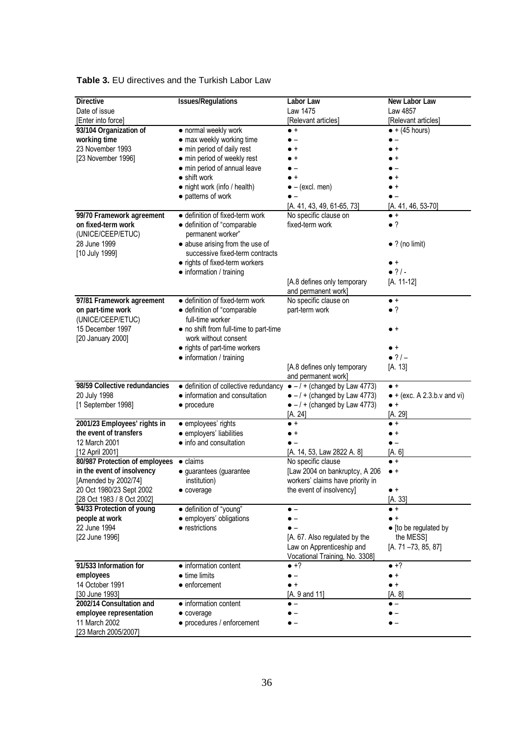| <b>Directive</b>                                       | <b>Issues/Regulations</b>                                                   | Labor Law                            | New Labor Law                       |
|--------------------------------------------------------|-----------------------------------------------------------------------------|--------------------------------------|-------------------------------------|
| Date of issue                                          |                                                                             | Law 1475                             | Law 4857                            |
|                                                        |                                                                             | [Relevant articles]                  |                                     |
| [Enter into force]<br>93/104 Organization of           | • normal weekly work                                                        | $\bullet$ +                          | [Relevant articles]                 |
|                                                        | • max weekly working time                                                   |                                      | $\bullet$ + (45 hours)              |
| working time                                           |                                                                             |                                      |                                     |
| 23 November 1993                                       | • min period of daily rest                                                  | $\bullet$                            |                                     |
| [23 November 1996]                                     | • min period of weekly rest                                                 |                                      |                                     |
|                                                        | • min period of annual leave                                                |                                      |                                     |
|                                                        | $\bullet$ shift work                                                        | $+$                                  |                                     |
|                                                        | • night work (info / health)                                                | $\bullet$ - (excl. men)              |                                     |
|                                                        | • patterns of work                                                          |                                      |                                     |
|                                                        |                                                                             | $[A. 41, 43, 49, 61-65, 73]$         | $[A. 41, 46, 53-70]$                |
| 99/70 Framework agreement                              | · definition of fixed-term work                                             | No specific clause on                | $\bullet$ +                         |
| on fixed-term work                                     | · definition of "comparable                                                 | fixed-term work                      | $\bullet$ ?                         |
| (UNICE/CEEP/ETUC)                                      | permanent worker"                                                           |                                      |                                     |
| 28 June 1999                                           | • abuse arising from the use of                                             |                                      | $\bullet$ ? (no limit)              |
| [10 July 1999]                                         | successive fixed-term contracts                                             |                                      |                                     |
|                                                        | • rights of fixed-term workers                                              |                                      | $\bullet$ +                         |
|                                                        | • information / training                                                    |                                      | $• ?/-$                             |
|                                                        |                                                                             | [A.8 defines only temporary          | [A. 11-12]                          |
|                                                        |                                                                             | and permanent work]                  |                                     |
| 97/81 Framework agreement                              | · definition of fixed-term work                                             | No specific clause on                | $\bullet$ +                         |
| on part-time work                                      | • definition of "comparable                                                 | part-term work                       | •?                                  |
| (UNICE/CEEP/ETUC)                                      | full-time worker                                                            |                                      |                                     |
| 15 December 1997                                       | • no shift from full-time to part-time                                      |                                      | $\bullet$ +                         |
| [20 January 2000]                                      | work without consent                                                        |                                      |                                     |
|                                                        | • rights of part-time workers                                               |                                      | $\bullet$ +                         |
|                                                        | • information / training                                                    |                                      | $\bullet$ ? / $-$                   |
|                                                        |                                                                             | [A.8 defines only temporary          | [A. 13]                             |
|                                                        |                                                                             | and permanent work]                  |                                     |
| 98/59 Collective redundancies                          | • definition of collective redundancy $\bullet - / +$ (changed by Law 4773) |                                      | $\bullet$ +                         |
|                                                        |                                                                             | $\bullet$ -/ + (changed by Law 4773) | $\bullet$ + (exc. A 2.3.b.v and vi) |
|                                                        | • information and consultation                                              |                                      |                                     |
| 20 July 1998                                           |                                                                             |                                      | $\bullet$ +                         |
| [1 September 1998]                                     | • procedure                                                                 | $\bullet$ -/ + (changed by Law 4773) |                                     |
|                                                        |                                                                             | [A. 24]<br>$\bullet$ +               | [A. 29]<br>$\bullet$ +              |
| 2001/23 Employees' rights in<br>the event of transfers | · employees' rights                                                         | $\bullet$ +                          | $\bullet$ +                         |
| 12 March 2001                                          | · employers' liabilities                                                    |                                      | $\bullet$ $-$                       |
|                                                        | • info and consultation                                                     |                                      |                                     |
| [12 April 2001]                                        | $\bullet$ claims                                                            | [A. 14, 53, Law 2822 A. 8]           | [A. 6]<br>$\bullet$ +               |
| 80/987 Protection of employees                         |                                                                             | No specific clause                   | $\bullet$ +                         |
| in the event of insolvency                             | · guarantees (guarantee                                                     | [Law 2004 on bankruptcy, A 206       |                                     |
| [Amended by 2002/74]                                   | institution)                                                                | workers' claims have priority in     |                                     |
| 20 Oct 1980/23 Sept 2002                               | • coverage                                                                  | the event of insolvency]             | $\bullet$ +                         |
| [28 Oct 1983 / 8 Oct 2002]                             |                                                                             |                                      | [A. 33]                             |
| 94/33 Protection of young                              | · definition of "young"                                                     |                                      | $\bullet$ +<br>$\bullet$ +          |
| people at work                                         | · employers' obligations                                                    |                                      |                                     |
| 22 June 1994                                           | • restrictions                                                              |                                      | • [to be regulated by               |
| [22 June 1996]                                         |                                                                             | [A. 67. Also regulated by the        | the MESS]                           |
|                                                        |                                                                             | Law on Apprenticeship and            | $[A. 71 - 73, 85, 87]$              |
|                                                        |                                                                             | Vocational Training, No. 3308]       |                                     |
| 91/533 Information for                                 | • information content                                                       | $\bullet$ +?                         | $\bullet$ +?                        |
| employees                                              | $\bullet$ time limits                                                       | $\bullet$ $-$                        | $\bullet$ +                         |
| 14 October 1991                                        | $\bullet$ enforcement                                                       | $\bullet$ +                          | $\bullet$ +                         |
| [30 June 1993]                                         |                                                                             | [A. 9 and 11]                        | [A. 8]                              |
| 2002/14 Consultation and                               | • information content                                                       | $\bullet$ $-$                        | $\bullet$ $-$                       |
| employee representation                                | • coverage                                                                  |                                      |                                     |
| 11 March 2002<br>[23 March 2005/2007]                  | • procedures / enforcement                                                  |                                      |                                     |

### **Table 3.** EU directives and the Turkish Labor Law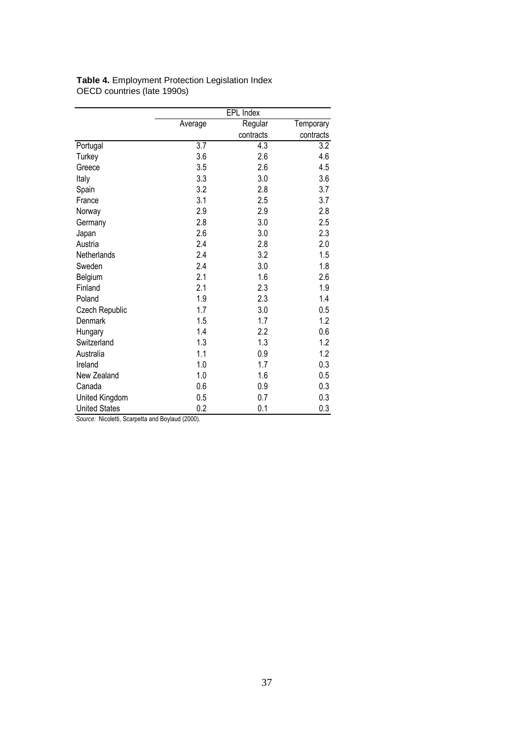|                      |                  | EPL Index        |                  |
|----------------------|------------------|------------------|------------------|
|                      | Average          | Regular          | Temporary        |
|                      |                  | contracts        | contracts        |
| Portugal             | $\overline{3.7}$ | $\overline{4.3}$ | $\overline{3.2}$ |
| Turkey               | 3.6              | 2.6              | 4.6              |
| Greece               | 3.5              | 2.6              | 4.5              |
| Italy                | 3.3              | 3.0              | 3.6              |
| Spain                | 3.2              | 2.8              | 3.7              |
| France               | 3.1              | 2.5              | 3.7              |
| Norway               | 2.9              | 2.9              | 2.8              |
| Germany              | 2.8              | 3.0              | 2.5              |
| Japan                | 2.6              | 3.0              | 2.3              |
| Austria              | 2.4              | 2.8              | 2.0              |
| Netherlands          | 2.4              | 3.2              | 1.5              |
| Sweden               | 2.4              | 3.0              | 1.8              |
| Belgium              | 2.1              | 1.6              | 2.6              |
| Finland              | 2.1              | 2.3              | 1.9              |
| Poland               | 1.9              | 2.3              | 1.4              |
| Czech Republic       | 1.7              | 3.0              | 0.5              |
| Denmark              | 1.5              | 1.7              | 1.2              |
| Hungary              | 1.4              | 2.2              | 0.6              |
| Switzerland          | 1.3              | 1.3              | 1.2              |
| Australia            | 1.1              | 0.9              | 1.2              |
| Ireland              | 1.0              | 1.7              | 0.3              |
| New Zealand          | 1.0              | 1.6              | 0.5              |
| Canada               | 0.6              | 0.9              | 0.3              |
| United Kingdom       | 0.5              | 0.7              | 0.3              |
| <b>United States</b> | 0.2              | 0.1              | 0.3              |

**Table 4.** Employment Protection Legislation Index OECD countries (late 1990s)

*Source:* Nicoletti, Scarpetta and Boylaud (2000).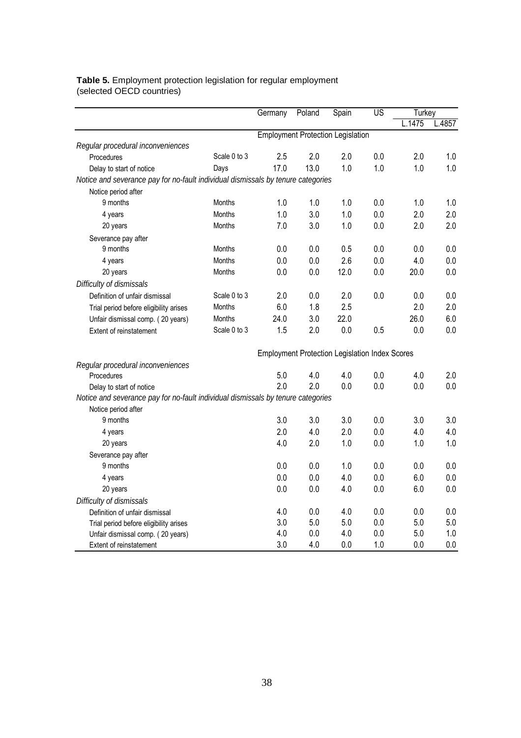#### **Table 5.** Employment protection legislation for regular employment (selected OECD countries)

|                                                                                  |               | Germany | Poland  | Spain                                                 | US    | Turkey |       |
|----------------------------------------------------------------------------------|---------------|---------|---------|-------------------------------------------------------|-------|--------|-------|
|                                                                                  |               |         |         |                                                       |       | .1475  | .4857 |
|                                                                                  |               |         |         | <b>Employment Protection Legislation</b>              |       |        |       |
| Regular procedural inconveniences                                                |               |         |         |                                                       |       |        |       |
| Procedures                                                                       | Scale 0 to 3  | 2.5     | 2.0     | 2.0                                                   | 0.0   | 2.0    | 1.0   |
| Delay to start of notice                                                         | Days          | 17.0    | 13.0    | 1.0                                                   | 1.0   | 1.0    | 1.0   |
| Notice and severance pay for no-fault individual dismissals by tenure categories |               |         |         |                                                       |       |        |       |
| Notice period after                                                              |               |         |         |                                                       |       |        |       |
| 9 months                                                                         | <b>Months</b> | 1.0     | 1.0     | 1.0                                                   | 0.0   | 1.0    | 1.0   |
| 4 years                                                                          | <b>Months</b> | 1.0     | 3.0     | 1.0                                                   | 0.0   | 2.0    | 2.0   |
| 20 years                                                                         | <b>Months</b> | 7.0     | 3.0     | 1.0                                                   | 0.0   | 2.0    | 2.0   |
| Severance pay after                                                              |               |         |         |                                                       |       |        |       |
| 9 months                                                                         | Months        | 0.0     | 0.0     | 0.5                                                   | 0.0   | 0.0    | 0.0   |
| 4 years                                                                          | <b>Months</b> | 0.0     | 0.0     | 2.6                                                   | $0.0$ | 4.0    | 0.0   |
| 20 years                                                                         | <b>Months</b> | 0.0     | $0.0\,$ | 12.0                                                  | 0.0   | 20.0   | 0.0   |
| Difficulty of dismissals                                                         |               |         |         |                                                       |       |        |       |
| Definition of unfair dismissal                                                   | Scale 0 to 3  | 2.0     | 0.0     | 2.0                                                   | 0.0   | 0.0    | 0.0   |
| Trial period before eligibility arises                                           | <b>Months</b> | 6.0     | 1.8     | 2.5                                                   |       | 2.0    | 2.0   |
| Unfair dismissal comp. (20 years)                                                | Months        | 24.0    | 3.0     | 22.0                                                  |       | 26.0   | 6.0   |
| <b>Extent of reinstatement</b>                                                   | Scale 0 to 3  | 1.5     | 2.0     | 0.0                                                   | 0.5   | 0.0    | 0.0   |
|                                                                                  |               |         |         | <b>Employment Protection Legislation Index Scores</b> |       |        |       |
| Regular procedural inconveniences                                                |               |         |         |                                                       |       |        |       |
| Procedures                                                                       |               | 5.0     | 4.0     | 4.0                                                   | 0.0   | 4.0    | 2.0   |
| Delay to start of notice                                                         |               | 2.0     | 2.0     | 0.0                                                   | 0.0   | 0.0    | 0.0   |
| Notice and severance pay for no-fault individual dismissals by tenure categories |               |         |         |                                                       |       |        |       |
| Notice period after                                                              |               |         |         |                                                       |       |        |       |
| 9 months                                                                         |               | 3.0     | 3.0     | 3.0                                                   | 0.0   | 3.0    | 3.0   |
| 4 years                                                                          |               | 2.0     | 4.0     | 2.0                                                   | 0.0   | 4.0    | 4.0   |
| 20 years                                                                         |               | 4.0     | 2.0     | 1.0                                                   | 0.0   | 1.0    | 1.0   |
| Severance pay after                                                              |               |         |         |                                                       |       |        |       |
| 9 months                                                                         |               | 0.0     | 0.0     | 1.0                                                   | 0.0   | 0.0    | 0.0   |
| 4 years                                                                          |               | 0.0     | 0.0     | 4.0                                                   | 0.0   | 6.0    | 0.0   |
| 20 years                                                                         |               | 0.0     | 0.0     | 4.0                                                   | 0.0   | 6.0    | 0.0   |
| Difficulty of dismissals                                                         |               |         |         |                                                       |       |        |       |
| Definition of unfair dismissal                                                   |               | 4.0     | 0.0     | 4.0                                                   | 0.0   | 0.0    | 0.0   |
| Trial period before eligibility arises                                           |               | 3.0     | 5.0     | 5.0                                                   | 0.0   | 5.0    | 5.0   |
| Unfair dismissal comp. (20 years)                                                |               | 4.0     | 0.0     | 4.0                                                   | 0.0   | 5.0    | 1.0   |
| <b>Extent of reinstatement</b>                                                   |               | 3.0     | 4.0     | 0.0                                                   | 1.0   | 0.0    | 0.0   |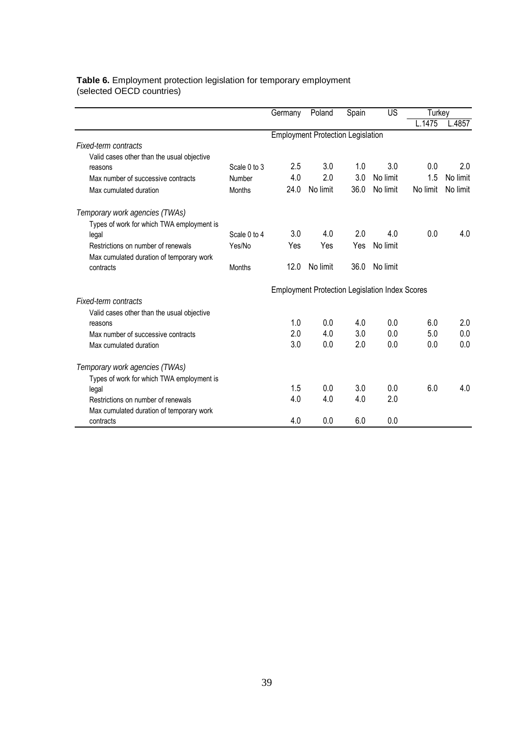#### **Table 6.** Employment protection legislation for temporary employment (selected OECD countries)

|                                            |              | Germany | Poland                                                | Spain | US       | Turkey   |          |
|--------------------------------------------|--------------|---------|-------------------------------------------------------|-------|----------|----------|----------|
|                                            |              |         |                                                       |       |          | L.1475   | L.4857   |
|                                            |              |         | <b>Employment Protection Legislation</b>              |       |          |          |          |
| <b>Fixed-term contracts</b>                |              |         |                                                       |       |          |          |          |
| Valid cases other than the usual objective |              |         |                                                       |       |          |          |          |
| reasons                                    | Scale 0 to 3 | 2.5     | 3.0                                                   | 1.0   | 3.0      | 0.0      | 2.0      |
| Max number of successive contracts         | Number       | 4.0     | 2.0                                                   | 3.0   | No limit | 1.5      | No limit |
| Max cumulated duration                     | Months       | 24.0    | No limit                                              | 36.0  | No limit | No limit | No limit |
| Temporary work agencies (TWAs)             |              |         |                                                       |       |          |          |          |
| Types of work for which TWA employment is  |              |         |                                                       |       |          |          |          |
| legal                                      | Scale 0 to 4 | 3.0     | 4.0                                                   | 2.0   | 4.0      | 0.0      | 4.0      |
| Restrictions on number of renewals         | Yes/No       | Yes     | Yes                                                   | Yes   | No limit |          |          |
| Max cumulated duration of temporary work   |              |         |                                                       |       |          |          |          |
| contracts                                  | Months       | 12.0    | No limit                                              | 36.0  | No limit |          |          |
|                                            |              |         | <b>Employment Protection Legislation Index Scores</b> |       |          |          |          |
| <b>Fixed-term contracts</b>                |              |         |                                                       |       |          |          |          |
| Valid cases other than the usual objective |              |         |                                                       |       |          |          |          |
| reasons                                    |              | 1.0     | 0.0                                                   | 4.0   | 0.0      | 6.0      | 2.0      |
| Max number of successive contracts         |              | 2.0     | 4.0                                                   | 3.0   | 0.0      | 5.0      | 0.0      |
| Max cumulated duration                     |              | 3.0     | 0.0                                                   | 2.0   | 0.0      | 0.0      | 0.0      |
| Temporary work agencies (TWAs)             |              |         |                                                       |       |          |          |          |
| Types of work for which TWA employment is  |              |         |                                                       |       |          |          |          |
| legal                                      |              | 1.5     | 0.0                                                   | 3.0   | 0.0      | 6.0      | 4.0      |
| Restrictions on number of renewals         |              | 4.0     | 4.0                                                   | 4.0   | 2.0      |          |          |
| Max cumulated duration of temporary work   |              |         |                                                       |       |          |          |          |
| contracts                                  |              | 4.0     | 0.0                                                   | 6.0   | 0.0      |          |          |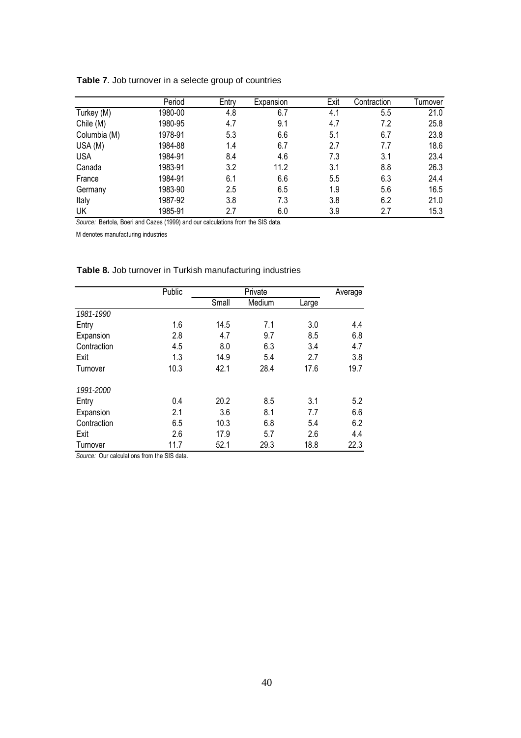|              | Period  | Entry | Expansion | Exit | Contraction | Turnover |
|--------------|---------|-------|-----------|------|-------------|----------|
| Turkey (M)   | 1980-00 | 4.8   | 6.7       | 4.1  | 5.5         | 21.0     |
| Chile (M)    | 1980-95 | 4.7   | 9.1       | 4.7  | 7.2         | 25.8     |
| Columbia (M) | 1978-91 | 5.3   | 6.6       | 5.1  | 6.7         | 23.8     |
| USA (M)      | 1984-88 | 1.4   | 6.7       | 2.7  | 7.7         | 18.6     |
| <b>USA</b>   | 1984-91 | 8.4   | 4.6       | 7.3  | 3.1         | 23.4     |
| Canada       | 1983-91 | 3.2   | 11.2      | 3.1  | 8.8         | 26.3     |
| France       | 1984-91 | 6.1   | 6.6       | 5.5  | 6.3         | 24.4     |
| Germany      | 1983-90 | 2.5   | 6.5       | 1.9  | 5.6         | 16.5     |
| Italy        | 1987-92 | 3.8   | 7.3       | 3.8  | 6.2         | 21.0     |
| UK           | 1985-91 | 2.7   | 6.0       | 3.9  | 2.7         | 15.3     |

**Table 7**. Job turnover in a selecte group of countries

*Source:* Bertola, Boeri and Cazes (1999) and our calculations from the SIS data.

M denotes manufacturing industries

|             | Public |       | Average |       |      |
|-------------|--------|-------|---------|-------|------|
|             |        | Small | Medium  | Large |      |
| 1981-1990   |        |       |         |       |      |
| Entry       | 1.6    | 14.5  | 7.1     | 3.0   | 4.4  |
| Expansion   | 2.8    | 4.7   | 9.7     | 8.5   | 6.8  |
| Contraction | 4.5    | 8.0   | 6.3     | 3.4   | 4.7  |
| Exit        | 1.3    | 14.9  | 5.4     | 2.7   | 3.8  |
| Turnover    | 10.3   | 42.1  | 28.4    | 17.6  | 19.7 |
| 1991-2000   |        |       |         |       |      |
| Entry       | 0.4    | 20.2  | 8.5     | 3.1   | 5.2  |
| Expansion   | 2.1    | 3.6   | 8.1     | 7.7   | 6.6  |
| Contraction | 6.5    | 10.3  | 6.8     | 5.4   | 6.2  |
| Exit        | 2.6    | 17.9  | 5.7     | 2.6   | 4.4  |
| Turnover    | 11.7   | 52.1  | 29.3    | 18.8  | 22.3 |

### **Table 8.** Job turnover in Turkish manufacturing industries

*Source:* Our calculations from the SIS data.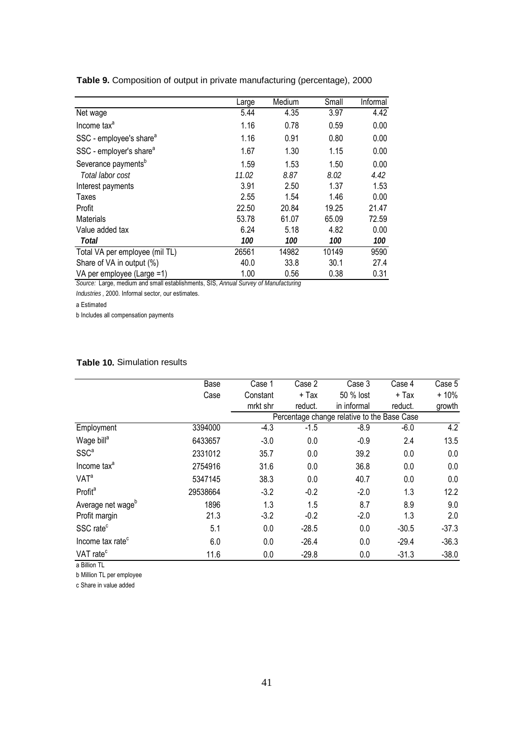|                                     | Large | Medium | Small | Informal |
|-------------------------------------|-------|--------|-------|----------|
| Net wage                            | 5.44  | 4.35   | 3.97  | 4.42     |
| Income tax <sup>a</sup>             | 1.16  | 0.78   | 0.59  | 0.00     |
| SSC - employee's share <sup>a</sup> | 1.16  | 0.91   | 0.80  | 0.00     |
| SSC - employer's share <sup>a</sup> | 1.67  | 1.30   | 1.15  | 0.00     |
| Severance payments <sup>b</sup>     | 1.59  | 1.53   | 1.50  | 0.00     |
| Total labor cost                    | 11.02 | 8.87   | 8.02  | 4.42     |
| Interest payments                   | 3.91  | 2.50   | 1.37  | 1.53     |
| Taxes                               | 2.55  | 1.54   | 1.46  | 0.00     |
| Profit                              | 22.50 | 20.84  | 19.25 | 21.47    |
| <b>Materials</b>                    | 53.78 | 61.07  | 65.09 | 72.59    |
| Value added tax                     | 6.24  | 5.18   | 4.82  | 0.00     |
| Total                               | 100   | 100    | 100   | 100      |
| Total VA per employee (mil TL)      | 26561 | 14982  | 10149 | 9590     |
| Share of VA in output (%)           | 40.0  | 33.8   | 30.1  | 27.4     |
| VA per employee (Large =1)          | 1.00  | 0.56   | 0.38  | 0.31     |

**Table 9.** Composition of output in private manufacturing (percentage), 2000

*Source:* Large, medium and small establishments, SIS, *Annual Survey of Manufacturing* 

*Industries* , 2000. Informal sector, our estimates.

a Estimated

b Includes all compensation payments

### **Table 10.** Simulation results

|                               | Base     | Case 1   | Case 2  | Case 3                                      | Case 4  | Case 5  |
|-------------------------------|----------|----------|---------|---------------------------------------------|---------|---------|
|                               | Case     | Constant | + Tax   | 50 % lost                                   | + Tax   | $+10%$  |
|                               |          | mrkt shr | reduct. | in informal                                 | reduct. | growth  |
|                               |          |          |         | Percentage change relative to the Base Case |         |         |
| Employment                    | 3394000  | $-4.3$   | $-1.5$  | $-8.9$                                      | $-6.0$  | 4.2     |
| Wage bill <sup>a</sup>        | 6433657  | $-3.0$   | 0.0     | $-0.9$                                      | 2.4     | 13.5    |
| SSC <sup>a</sup>              | 2331012  | 35.7     | 0.0     | 39.2                                        | 0.0     | 0.0     |
| Income tax <sup>a</sup>       | 2754916  | 31.6     | 0.0     | 36.8                                        | 0.0     | 0.0     |
| <b>VAT<sup>a</sup></b>        | 5347145  | 38.3     | 0.0     | 40.7                                        | 0.0     | 0.0     |
| Profit <sup>a</sup>           | 29538664 | $-3.2$   | $-0.2$  | $-2.0$                                      | 1.3     | 12.2    |
| Average net wage <sup>b</sup> | 1896     | 1.3      | 1.5     | 8.7                                         | 8.9     | 9.0     |
| Profit margin                 | 21.3     | $-3.2$   | $-0.2$  | $-2.0$                                      | 1.3     | 2.0     |
| SSC rate <sup>c</sup>         | 5.1      | 0.0      | $-28.5$ | 0.0                                         | $-30.5$ | $-37.3$ |
| Income tax rate <sup>c</sup>  | 6.0      | 0.0      | $-26.4$ | 0.0                                         | $-29.4$ | $-36.3$ |
| VAT rate <sup>c</sup>         | 11.6     | 0.0      | $-29.8$ | 0.0                                         | $-31.3$ | $-38.0$ |

a Billion TL

b Million TL per employee

c Share in value added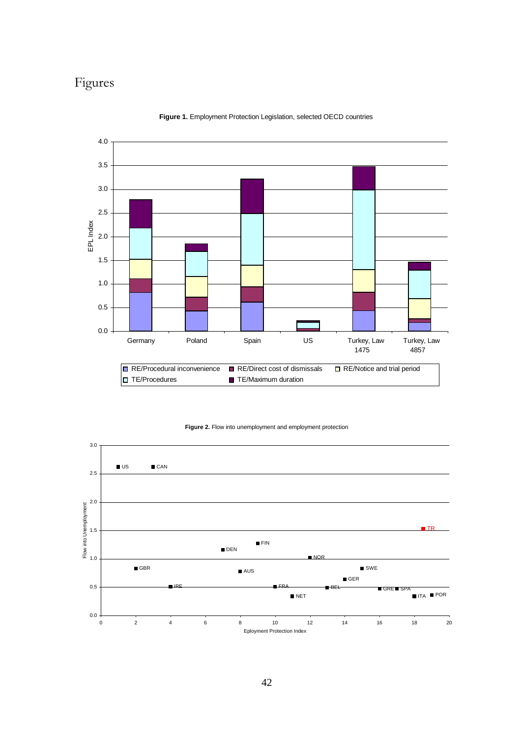# Figures



**Figure 1.** Employment Protection Legislation, selected OECD countries

**Figure 2.** Flow into unemployment and employment protection

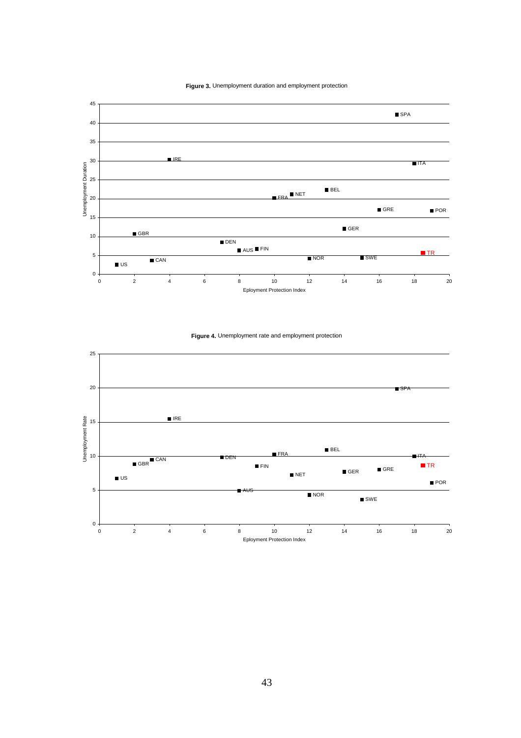



**Figure 4.** Unemployment rate and employment protection

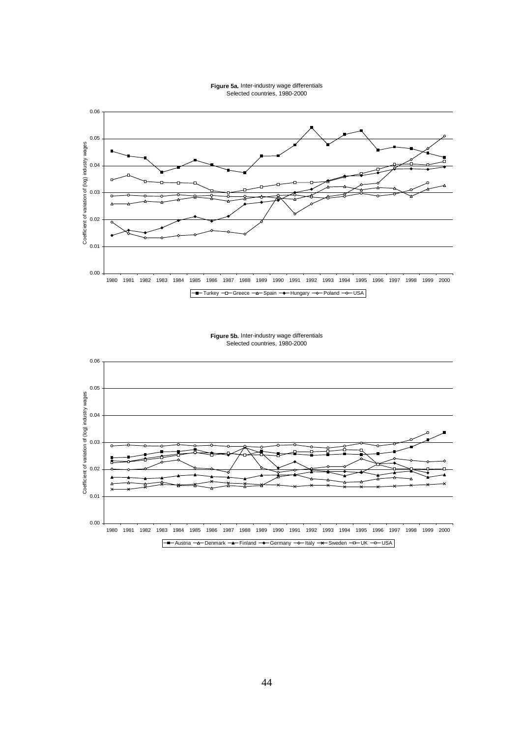



**Figure 5b.** Inter-industry wage differentials Selected countries, 1980-2000

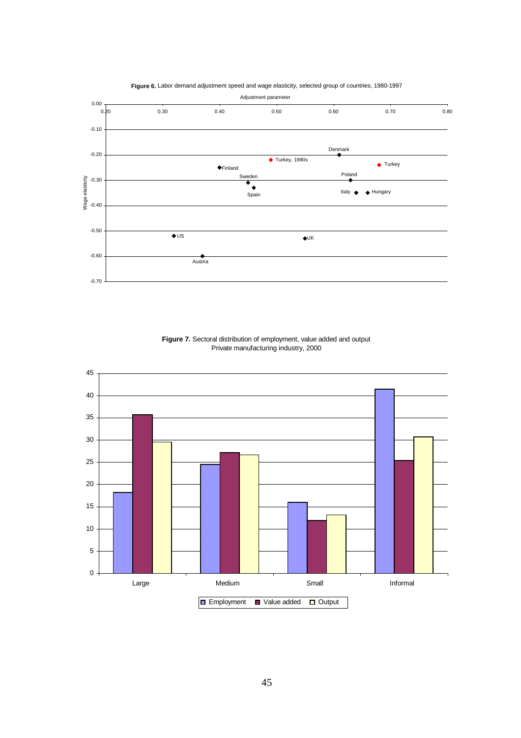

**Figure 6.** Labor demand adjustment speed and wage elasticity, selected group of countries, 1980-1997

**Figure 7.** Sectoral distribution of employment, value added and output Private manufacturing industry, 2000